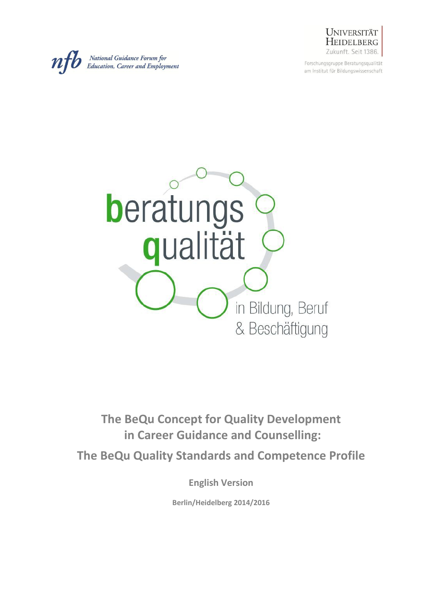

Forschungsgruppe Beratungsqualität am Institut für Bildungswissenschaft





**The BeQu Concept for Quality Development in Career Guidance and Counselling:**

**The BeQu Quality Standards and Competence Profile**

**English Version**

**Berlin/Heidelberg 2014/2016**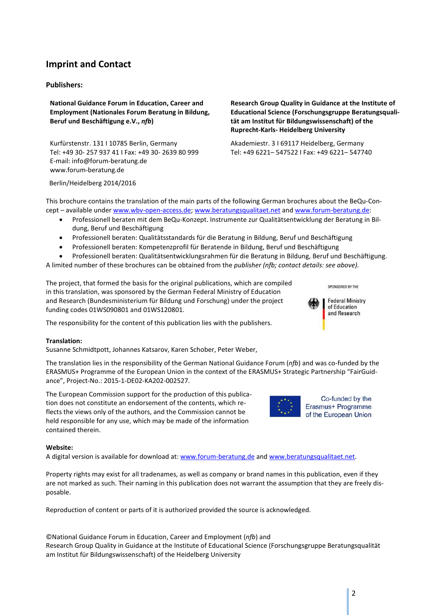# **Imprint and Contact**

#### **Publishers:**

**National Guidance Forum in Education, Career and Employment (Nationales Forum Beratung in Bildung, Beruf und Beschäftigung e.V.,** *nfb***)** 

Kurfürstenstr. 131 I 10785 Berlin, Germany Tel: +49 30- 257 937 41 I Fax: +49 30- 2639 80 999 E-mail: info@forum-beratung.de www.forum-beratung.de

**tät am Institut für Bildungswissenschaft) of the Ruprecht-Karls- Heidelberg University** Akademiestr. 3 I 69117 Heidelberg, Germany

Tel: +49 6221– 547522 I Fax: +49 6221– 547740

**Research Group Quality in Guidance at the Institute of Educational Science (Forschungsgruppe Beratungsquali-**

Berlin/Heidelberg 2014/2016

This brochure contains the translation of the main parts of the following German brochures about the BeQu-Concept – available under [www.wbv-open-access.de;](http://www.wbv-open-access.de/) [www.beratungsqualitaet.net](http://www.beratungsqualitaet.net/) and [www.forum-beratung.de:](http://www.forum-beratung.de/)

- Professionell beraten mit dem BeQu-Konzept. Instrumente zur Qualitätsentwicklung der Beratung in Bildung, Beruf und Beschäftigung
- Professionell beraten: Qualitätsstandards für die Beratung in Bildung, Beruf und Beschäftigung
- Professionell beraten: Kompetenzprofil für Beratende in Bildung, Beruf und Beschäftigung
- Professionell beraten: Qualitätsentwicklungsrahmen für die Beratung in Bildung, Beruf und Beschäftigung.

A limited number of these brochures can be obtained from the *publisher (nfb; contact details: see above).*

The project, that formed the basis for the original publications, which are compiled in this translation, was sponsored by the German Federal Ministry of Education and Research (Bundesministerium für Bildung und Forschung) under the project funding codes 01WS090801 and 01WS120801.

The responsibility for the content of this publication lies with the publishers.

#### **Translation:**

Susanne Schmidtpott, Johannes Katsarov, Karen Schober, Peter Weber,

The translation lies in the responsibility of the German National Guidance Forum (*nfb*) and was co-funded by the ERASMUS+ Programme of the European Union in the context of the ERASMUS+ Strategic Partnership "FairGuidance", Project-No.: 2015-1-DE02-KA202-002527.

The European Commission support for the production of this publication does not constitute an endorsement of the contents, which reflects the views only of the authors, and the Commission cannot be held responsible for any use, which may be made of the information contained therein.

#### **Website:**

A digital version is available for download at: [www.forum-beratung.de](http://www.forum-beratung.de/) and [www.beratungsqualitaet.net.](http://www.beratungsqualitaet.net/)

Property rights may exist for all tradenames, as well as company or brand names in this publication, even if they are not marked as such. Their naming in this publication does not warrant the assumption that they are freely disposable.

Reproduction of content or parts of it is authorized provided the source is acknowledged.

©National Guidance Forum in Education, Career and Employment (*nfb*) and Research Group Quality in Guidance at the Institute of Educational Science (Forschungsgruppe Beratungsqualität am Institut für Bildungswissenschaft) of the Heidelberg University





Co-funded by the Erasmus+ Programme of the European Union

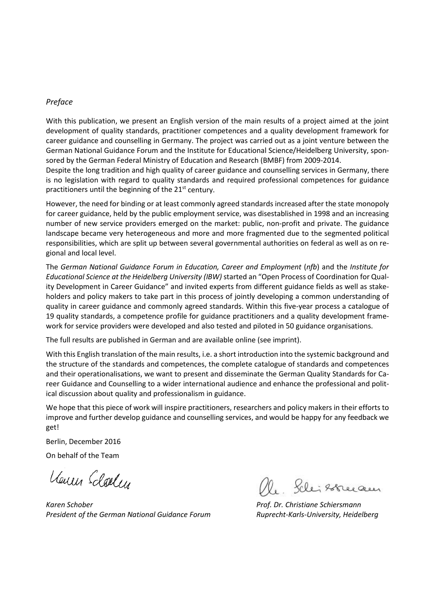#### *Preface*

With this publication, we present an English version of the main results of a project aimed at the joint development of quality standards, practitioner competences and a quality development framework for career guidance and counselling in Germany. The project was carried out as a joint venture between the German National Guidance Forum and the Institute for Educational Science/Heidelberg University, sponsored by the German Federal Ministry of Education and Research (BMBF) from 2009-2014.

Despite the long tradition and high quality of career guidance and counselling services in Germany, there is no legislation with regard to quality standards and required professional competences for guidance practitioners until the beginning of the 21<sup>st</sup> century.

However, the need for binding or at least commonly agreed standards increased after the state monopoly for career guidance, held by the public employment service, was disestablished in 1998 and an increasing number of new service providers emerged on the market: public, non-profit and private. The guidance landscape became very heterogeneous and more and more fragmented due to the segmented political responsibilities, which are split up between several governmental authorities on federal as well as on regional and local level.

The *German National Guidance Forum in Education, Career and Employment* (*nfb*) and the *Institute for Educational Science at the Heidelberg University (IBW)* started an "Open Process of Coordination for Quality Development in Career Guidance" and invited experts from different guidance fields as well as stakeholders and policy makers to take part in this process of jointly developing a common understanding of quality in career guidance and commonly agreed standards. Within this five-year process a catalogue of 19 quality standards, a competence profile for guidance practitioners and a quality development framework for service providers were developed and also tested and piloted in 50 guidance organisations.

The full results are published in German and are available online (see imprint).

With this English translation of the main results, i.e. a short introduction into the systemic background and the structure of the standards and competences, the complete catalogue of standards and competences and their operationalisations, we want to present and disseminate the German Quality Standards for Career Guidance and Counselling to a wider international audience and enhance the professional and political discussion about quality and professionalism in guidance.

We hope that this piece of work will inspire practitioners, researchers and policy makers in their efforts to improve and further develop guidance and counselling services, and would be happy for any feedback we get!

Berlin, December 2016

On behalf of the Team

Venus Edolly

*President of the German National Guidance Forum Ruprecht-Karls-University, Heidelberg*

 *Karen Schober Prof. Dr. Christiane Schiersmann*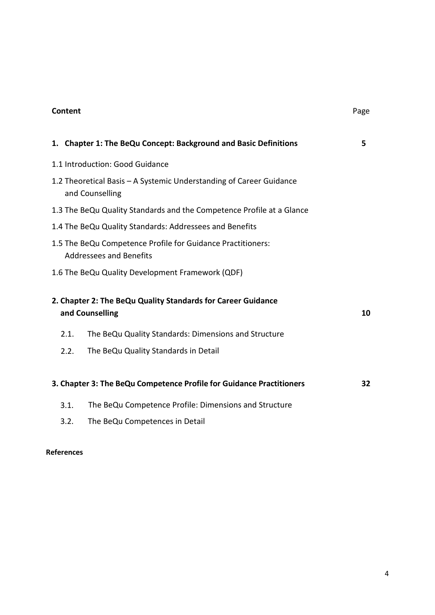# **Content** Page

|      | 1. Chapter 1: The BeQu Concept: Background and Basic Definitions                              | 5  |
|------|-----------------------------------------------------------------------------------------------|----|
|      | 1.1 Introduction: Good Guidance                                                               |    |
|      | 1.2 Theoretical Basis – A Systemic Understanding of Career Guidance<br>and Counselling        |    |
|      | 1.3 The BeQu Quality Standards and the Competence Profile at a Glance                         |    |
|      | 1.4 The BeQu Quality Standards: Addressees and Benefits                                       |    |
|      | 1.5 The BeQu Competence Profile for Guidance Practitioners:<br><b>Addressees and Benefits</b> |    |
|      | 1.6 The BeQu Quality Development Framework (QDF)                                              |    |
|      | 2. Chapter 2: The BeQu Quality Standards for Career Guidance<br>and Counselling               | 10 |
| 2.1. | The BeQu Quality Standards: Dimensions and Structure                                          |    |
| 2.2. | The BeQu Quality Standards in Detail                                                          |    |
|      | 3. Chapter 3: The BeQu Competence Profile for Guidance Practitioners                          | 32 |
| 3.1. | The BeQu Competence Profile: Dimensions and Structure                                         |    |
| 3.2. | The BeQu Competences in Detail                                                                |    |

# **References**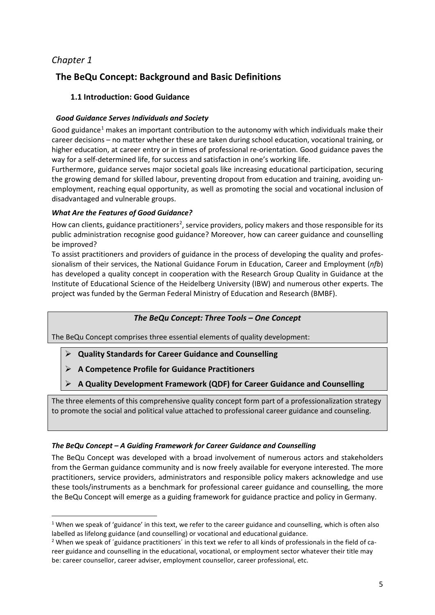# *Chapter 1*

# **The BeQu Concept: Background and Basic Definitions**

# **1.1 Introduction: Good Guidance**

# *Good Guidance Serves Individuals and Society*

Good guidance<sup>[1](#page-4-0)</sup> makes an important contribution to the autonomy with which individuals make their career decisions – no matter whether these are taken during school education, vocational training, or higher education, at career entry or in times of professional re-orientation. Good guidance paves the way for a self-determined life, for success and satisfaction in one's working life.

Furthermore, guidance serves major societal goals like increasing educational participation, securing the growing demand for skilled labour, preventing dropout from education and training, avoiding unemployment, reaching equal opportunity, as well as promoting the social and vocational inclusion of disadvantaged and vulnerable groups.

# *What Are the Features of Good Guidance?*

How can clients, guidance practitioners<sup>[2](#page-4-1)</sup>, service providers, policy makers and those responsible for its public administration recognise good guidance? Moreover, how can career guidance and counselling be improved?

To assist practitioners and providers of guidance in the process of developing the quality and professionalism of their services, the National Guidance Forum in Education, Career and Employment (*nfb*) has developed a quality concept in cooperation with the Research Group Quality in Guidance at the Institute of Educational Science of the Heidelberg University (IBW) and numerous other experts. The project was funded by the German Federal Ministry of Education and Research (BMBF).

# *The BeQu Concept: Three Tools – One Concept*

The BeQu Concept comprises three essential elements of quality development:

- **Quality Standards for Career Guidance and Counselling**
- **A Competence Profile for Guidance Practitioners**
- **A Quality Development Framework (QDF) for Career Guidance and Counselling**

The three elements of this comprehensive quality concept form part of a professionalization strategy to promote the social and political value attached to professional career guidance and counseling.

# *The BeQu Concept – A Guiding Framework for Career Guidance and Counselling*

The BeQu Concept was developed with a broad involvement of numerous actors and stakeholders from the German guidance community and is now freely available for everyone interested. The more practitioners, service providers, administrators and responsible policy makers acknowledge and use these tools/instruments as a benchmark for professional career guidance and counselling, the more the BeQu Concept will emerge as a guiding framework for guidance practice and policy in Germany.

<span id="page-4-0"></span> $1$  When we speak of 'guidance' in this text, we refer to the career guidance and counselling, which is often also labelled as lifelong guidance (and counselling) or vocational and educational guidance.

<span id="page-4-1"></span><sup>&</sup>lt;sup>2</sup> When we speak of ´guidance practitioners´ in this text we refer to all kinds of professionals in the field of career guidance and counselling in the educational, vocational, or employment sector whatever their title may be: career counsellor, career adviser, employment counsellor, career professional, etc.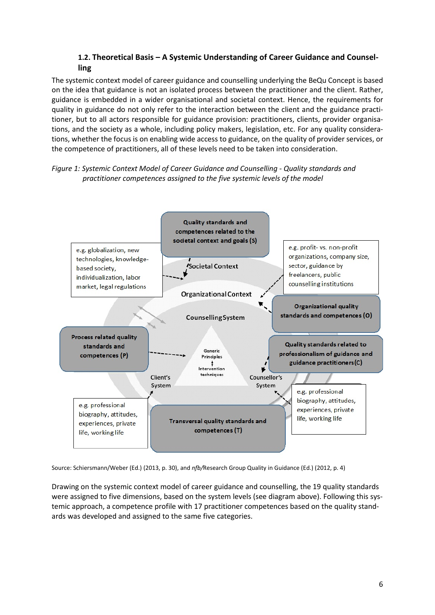# **1.2. Theoretical Basis – A Systemic Understanding of Career Guidance and Counselling**

The systemic context model of career guidance and counselling underlying the BeQu Concept is based on the idea that guidance is not an isolated process between the practitioner and the client. Rather, guidance is embedded in a wider organisational and societal context. Hence, the requirements for quality in guidance do not only refer to the interaction between the client and the guidance practitioner, but to all actors responsible for guidance provision: practitioners, clients, provider organisations, and the society as a whole, including policy makers, legislation, etc. For any quality considerations, whether the focus is on enabling wide access to guidance, on the quality of provider services, or the competence of practitioners, all of these levels need to be taken into consideration.

# *Figure 1: Systemic Context Model of Career Guidance and Counselling - Quality standards and practitioner competences assigned to the five systemic levels of the model*



Source: Schiersmann/Weber (Ed.) (2013, p. 30), and *nfb/*Research Group Quality in Guidance (Ed.) (2012, p. 4)

Drawing on the systemic context model of career guidance and counselling, the 19 quality standards were assigned to five dimensions, based on the system levels (see diagram above). Following this systemic approach, a competence profile with 17 practitioner competences based on the quality standards was developed and assigned to the same five categories.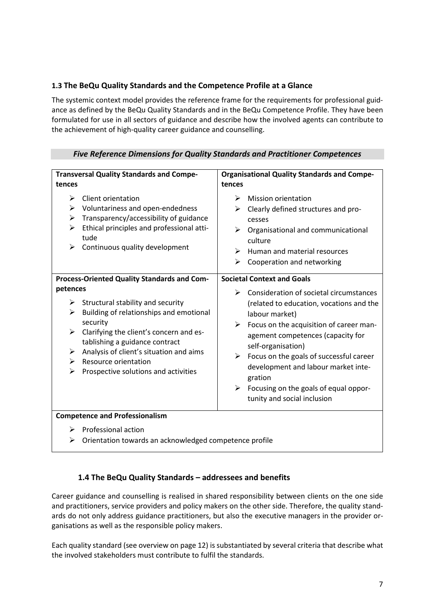# **1.3 The BeQu Quality Standards and the Competence Profile at a Glance**

The systemic context model provides the reference frame for the requirements for professional guidance as defined by the BeQu Quality Standards and in the BeQu Competence Profile. They have been formulated for use in all sectors of guidance and describe how the involved agents can contribute to the achievement of high-quality career guidance and counselling.

| <b>Transversal Quality Standards and Compe-</b><br>tences                                                                                                                                                                                                                                                                         | <b>Organisational Quality Standards and Compe-</b><br>tences                                                                                                                                                                                                                                                                                                                                         |  |  |
|-----------------------------------------------------------------------------------------------------------------------------------------------------------------------------------------------------------------------------------------------------------------------------------------------------------------------------------|------------------------------------------------------------------------------------------------------------------------------------------------------------------------------------------------------------------------------------------------------------------------------------------------------------------------------------------------------------------------------------------------------|--|--|
| Client orientation<br>➤<br>➤<br>Voluntariness and open-endedness<br>Transparency/accessibility of guidance<br>➤<br>Ethical principles and professional atti-<br>➤<br>tude<br>Continuous quality development<br>➤                                                                                                                  | <b>Mission orientation</b><br>➤<br>Clearly defined structures and pro-<br>➤<br>cesses<br>➤<br>Organisational and communicational<br>culture<br>Human and material resources<br>⋗<br>Cooperation and networking<br>➤                                                                                                                                                                                  |  |  |
| Process-Oriented Quality Standards and Com-                                                                                                                                                                                                                                                                                       | <b>Societal Context and Goals</b>                                                                                                                                                                                                                                                                                                                                                                    |  |  |
| petences<br>Structural stability and security<br>➤<br>Building of relationships and emotional<br>➤<br>security<br>Clarifying the client's concern and es-<br>➤<br>tablishing a guidance contract<br>Analysis of client's situation and aims<br>➤<br><b>Resource orientation</b><br>➤<br>Prospective solutions and activities<br>➤ | Consideration of societal circumstances<br>➤<br>(related to education, vocations and the<br>labour market)<br>Focus on the acquisition of career man-<br>➤<br>agement competences (capacity for<br>self-organisation)<br>Focus on the goals of successful career<br>➤<br>development and labour market inte-<br>gration<br>Focusing on the goals of equal oppor-<br>➤<br>tunity and social inclusion |  |  |
| <b>Competence and Professionalism</b>                                                                                                                                                                                                                                                                                             |                                                                                                                                                                                                                                                                                                                                                                                                      |  |  |
| $\mathbb{R}$ Drafoccional action                                                                                                                                                                                                                                                                                                  |                                                                                                                                                                                                                                                                                                                                                                                                      |  |  |

# *Five Reference Dimensions for Quality Standards and Practitioner Competences*

# Professional action

 $\triangleright$  Orientation towards an acknowledged competence profile

# **1.4 The BeQu Quality Standards – addressees and benefits**

Career guidance and counselling is realised in shared responsibility between clients on the one side and practitioners, service providers and policy makers on the other side. Therefore, the quality standards do not only address guidance practitioners, but also the executive managers in the provider organisations as well as the responsible policy makers.

Each quality standard (see overview on page 12) is substantiated by several criteria that describe what the involved stakeholders must contribute to fulfil the standards.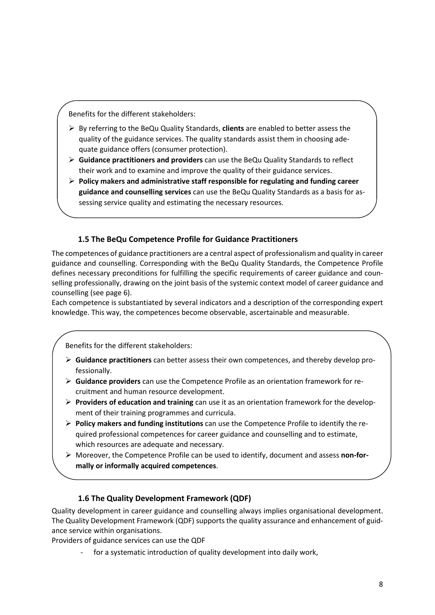Benefits for the different stakeholders:

- By referring to the BeQu Quality Standards, **clients** are enabled to better assess the quality of the guidance services. The quality standards assist them in choosing adequate guidance offers (consumer protection).
- **Guidance practitioners and providers** can use the BeQu Quality Standards to reflect their work and to examine and improve the quality of their guidance services.
- **Policy makers and administrative staff responsible for regulating and funding career guidance and counselling services** can use the BeQu Quality Standards as a basis for assessing service quality and estimating the necessary resources.

# **1.5 The BeQu Competence Profile for Guidance Practitioners**

The competences of guidance practitioners are a central aspect of professionalism and quality in career guidance and counselling. Corresponding with the BeQu Quality Standards, the Competence Profile defines necessary preconditions for fulfilling the specific requirements of career guidance and counselling professionally, drawing on the joint basis of the systemic context model of career guidance and counselling (see page 6).

Each competence is substantiated by several indicators and a description of the corresponding expert knowledge. This way, the competences become observable, ascertainable and measurable.

Benefits for the different stakeholders:

- **Guidance practitioners** can better assess their own competences, and thereby develop professionally.
- **Guidance providers** can use the Competence Profile as an orientation framework for recruitment and human resource development.
- **Providers of education and training** can use it as an orientation framework for the development of their training programmes and curricula.
- **Policy makers and funding institutions** can use the Competence Profile to identify the required professional competences for career guidance and counselling and to estimate, which resources are adequate and necessary.
- Moreover, the Competence Profile can be used to identify, document and assess **non-formally or informally acquired competences**.

# **1.6 The Quality Development Framework (QDF)**

Quality development in career guidance and counselling always implies organisational development. The Quality Development Framework (QDF) supports the quality assurance and enhancement of guidance service within organisations.

Providers of guidance services can use the QDF

for a systematic introduction of quality development into daily work,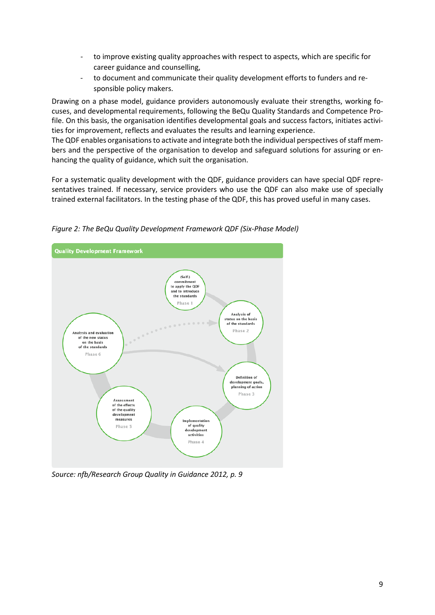- to improve existing quality approaches with respect to aspects, which are specific for career guidance and counselling,
- to document and communicate their quality development efforts to funders and responsible policy makers.

Drawing on a phase model, guidance providers autonomously evaluate their strengths, working focuses, and developmental requirements, following the BeQu Quality Standards and Competence Profile. On this basis, the organisation identifies developmental goals and success factors, initiates activities for improvement, reflects and evaluates the results and learning experience.

The QDF enables organisations to activate and integrate both the individual perspectives of staff members and the perspective of the organisation to develop and safeguard solutions for assuring or enhancing the quality of guidance, which suit the organisation.

For a systematic quality development with the QDF, guidance providers can have special QDF representatives trained. If necessary, service providers who use the QDF can also make use of specially trained external facilitators. In the testing phase of the QDF, this has proved useful in many cases.



*Figure 2: The BeQu Quality Development Framework QDF (Six-Phase Model)*

*Source: nfb/Research Group Quality in Guidance 2012, p. 9*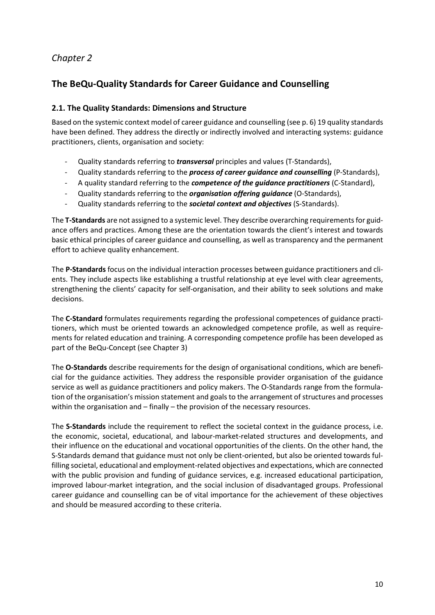# *Chapter 2*

# **The BeQu-Quality Standards for Career Guidance and Counselling**

# **2.1. The Quality Standards: Dimensions and Structure**

Based on the systemic context model of career guidance and counselling (see p. 6) 19 quality standards have been defined. They address the directly or indirectly involved and interacting systems: guidance practitioners, clients, organisation and society:

- Quality standards referring to *transversal* principles and values (T-Standards),
- Quality standards referring to the *process of career guidance and counselling* (P-Standards),
- A quality standard referring to the *competence of the guidance practitioners* (C-Standard),
- Quality standards referring to the *organisation offering guidance* (O-Standards),
- Quality standards referring to the *societal context and objectives* (S-Standards).

The **T-Standards** are not assigned to a systemic level. They describe overarching requirements for guidance offers and practices. Among these are the orientation towards the client's interest and towards basic ethical principles of career guidance and counselling, as well as transparency and the permanent effort to achieve quality enhancement.

The **P-Standards** focus on the individual interaction processes between guidance practitioners and clients. They include aspects like establishing a trustful relationship at eye level with clear agreements, strengthening the clients' capacity for self-organisation, and their ability to seek solutions and make decisions.

The **C-Standard** formulates requirements regarding the professional competences of guidance practitioners, which must be oriented towards an acknowledged competence profile, as well as requirements for related education and training. A corresponding competence profile has been developed as part of the BeQu-Concept (see Chapter 3)

The **O-Standards** describe requirements for the design of organisational conditions, which are beneficial for the guidance activities. They address the responsible provider organisation of the guidance service as well as guidance practitioners and policy makers. The O-Standards range from the formulation of the organisation's mission statement and goals to the arrangement of structures and processes within the organisation and – finally – the provision of the necessary resources.

The **S-Standards** include the requirement to reflect the societal context in the guidance process, i.e. the economic, societal, educational, and labour-market-related structures and developments, and their influence on the educational and vocational opportunities of the clients. On the other hand, the S-Standards demand that guidance must not only be client-oriented, but also be oriented towards fulfilling societal, educational and employment-related objectives and expectations, which are connected with the public provision and funding of guidance services, e.g. increased educational participation, improved labour-market integration, and the social inclusion of disadvantaged groups. Professional career guidance and counselling can be of vital importance for the achievement of these objectives and should be measured according to these criteria.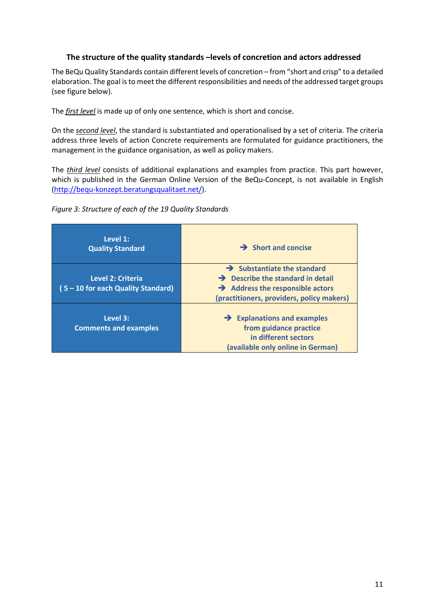# **The structure of the quality standards –levels of concretion and actors addressed**

The BeQu Quality Standards contain different levels of concretion – from "short and crisp" to a detailed elaboration. The goal isto meet the different responsibilities and needs of the addressed target groups (see figure below).

The *first level* is made up of only one sentence, which is short and concise.

On the *second level*, the standard is substantiated and operationalised by a set of criteria. The criteria address three levels of action Concrete requirements are formulated for guidance practitioners, the management in the guidance organisation, as well as policy makers.

The *third level* consists of additional explanations and examples from practice. This part however, which is published in the German Online Version of the BeQu-Concept, is not available in English [\(http://bequ-konzept.beratungsqualitaet.net/\)](http://bequ-konzept.beratungsqualitaet.net/).



| Level 1:<br><b>Quality Standard</b>                     | $\rightarrow$ Short and concise                                                                                                                                             |
|---------------------------------------------------------|-----------------------------------------------------------------------------------------------------------------------------------------------------------------------------|
| Level 2: Criteria<br>(5 - 10 for each Quality Standard) | $\rightarrow$ Substantiate the standard<br>$\rightarrow$ Describe the standard in detail<br>$\rightarrow$ Address the responsible actors                                    |
| Level 3:<br><b>Comments and examples</b>                | (practitioners, providers, policy makers)<br>$\rightarrow$ Explanations and examples<br>from guidance practice<br>in different sectors<br>(available only online in German) |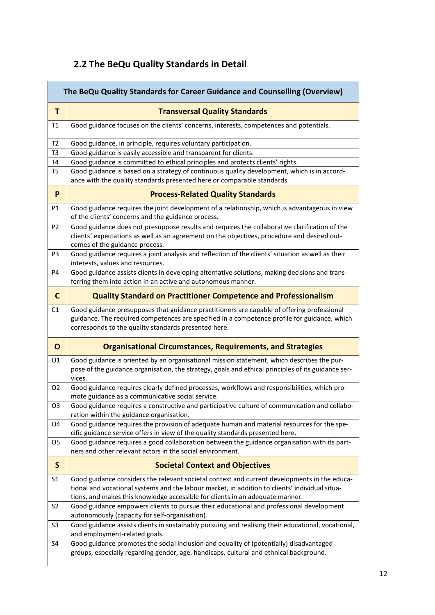# **2.2 The BeQu Quality Standards in Detail**

| The BeQu Quality Standards for Career Guidance and Counselling (Overview) |                                                                                                                                                                                                                                                                                 |  |
|---------------------------------------------------------------------------|---------------------------------------------------------------------------------------------------------------------------------------------------------------------------------------------------------------------------------------------------------------------------------|--|
| T.                                                                        | <b>Transversal Quality Standards</b>                                                                                                                                                                                                                                            |  |
| T1                                                                        | Good guidance focuses on the clients' concerns, interests, competences and potentials.                                                                                                                                                                                          |  |
| T <sub>2</sub>                                                            | Good guidance, in principle, requires voluntary participation.                                                                                                                                                                                                                  |  |
| T <sub>3</sub>                                                            | Good guidance is easily accessible and transparent for clients.                                                                                                                                                                                                                 |  |
| T4                                                                        | Good guidance is committed to ethical principles and protects clients' rights.                                                                                                                                                                                                  |  |
| T <sub>5</sub>                                                            | Good guidance is based on a strategy of continuous quality development, which is in accord-<br>ance with the quality standards presented here or comparable standards.                                                                                                          |  |
| P                                                                         | <b>Process-Related Quality Standards</b>                                                                                                                                                                                                                                        |  |
| P1                                                                        | Good guidance requires the joint development of a relationship, which is advantageous in view<br>of the clients' concerns and the guidance process.                                                                                                                             |  |
| P <sub>2</sub>                                                            | Good guidance does not presuppose results and requires the collaborative clarification of the<br>clients' expectations as well as an agreement on the objectives, procedure and desired out-<br>comes of the guidance process.                                                  |  |
| P <sub>3</sub>                                                            | Good guidance requires a joint analysis and reflection of the clients' situation as well as their<br>interests, values and resources.                                                                                                                                           |  |
| P <sub>4</sub>                                                            | Good guidance assists clients in developing alternative solutions, making decisions and trans-                                                                                                                                                                                  |  |
|                                                                           | ferring them into action in an active and autonomous manner.                                                                                                                                                                                                                    |  |
| $\mathbf{C}$                                                              | <b>Quality Standard on Practitioner Competence and Professionalism</b>                                                                                                                                                                                                          |  |
| C1                                                                        | Good guidance presupposes that guidance practitioners are capable of offering professional                                                                                                                                                                                      |  |
|                                                                           | guidance. The required competences are specified in a competence profile for guidance, which                                                                                                                                                                                    |  |
|                                                                           | corresponds to the quality standards presented here.                                                                                                                                                                                                                            |  |
| $\mathbf{o}$                                                              | <b>Organisational Circumstances, Requirements, and Strategies</b>                                                                                                                                                                                                               |  |
| 01                                                                        | Good guidance is oriented by an organisational mission statement, which describes the pur-<br>pose of the guidance organisation, the strategy, goals and ethical principles of its guidance ser-<br>vices.                                                                      |  |
| 02                                                                        | Good guidance requires clearly defined processes, workflows and responsibilities, which pro-<br>mote guidance as a communicative social service.                                                                                                                                |  |
| O <sub>3</sub>                                                            | Good guidance requires a constructive and participative culture of communication and collabo-                                                                                                                                                                                   |  |
|                                                                           | ration within the guidance organisation.                                                                                                                                                                                                                                        |  |
| O <sub>4</sub>                                                            | Good guidance requires the provision of adequate human and material resources for the spe-                                                                                                                                                                                      |  |
|                                                                           | cific guidance service offers in view of the quality standards presented here.                                                                                                                                                                                                  |  |
| O5                                                                        | Good guidance requires a good collaboration between the guidance organisation with its part-<br>ners and other relevant actors in the social environment.                                                                                                                       |  |
| $\mathsf{S}$                                                              | <b>Societal Context and Objectives</b>                                                                                                                                                                                                                                          |  |
| S <sub>1</sub>                                                            | Good guidance considers the relevant societal context and current developments in the educa-<br>tional and vocational systems and the labour market, in addition to clients' individual situa-<br>tions, and makes this knowledge accessible for clients in an adequate manner. |  |
| S <sub>2</sub>                                                            | Good guidance empowers clients to pursue their educational and professional development<br>autonomously (capacity for self-organisation).                                                                                                                                       |  |
| S <sub>3</sub>                                                            | Good guidance assists clients in sustainably pursuing and realising their educational, vocational,<br>and employment-related goals.                                                                                                                                             |  |
| S <sub>4</sub>                                                            | Good guidance promotes the social inclusion and equality of (potentially) disadvantaged<br>groups, especially regarding gender, age, handicaps, cultural and ethnical background.                                                                                               |  |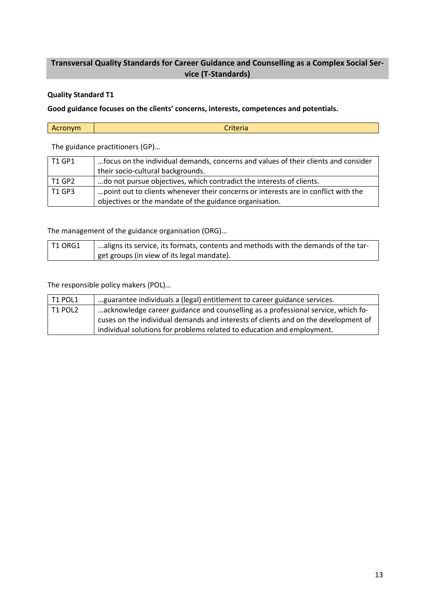# **Transversal Quality Standards for Career Guidance and Counselling as a Complex Social Service (T-Standards)**

# **Quality Standard T1**

**Good guidance focuses on the clients' concerns, interests, competences and potentials.**

| Acronym | $\sim$<br>$rr + \alpha$<br>UNEN d |
|---------|-----------------------------------|
|---------|-----------------------------------|

The guidance practitioners (GP)…

| T1 GP1 | focus on the individual demands, concerns and values of their clients and consider |
|--------|------------------------------------------------------------------------------------|
|        | their socio-cultural backgrounds.                                                  |
| T1 GP2 | do not pursue objectives, which contradict the interests of clients.               |
| T1 GP3 | point out to clients whenever their concerns or interests are in conflict with the |
|        | objectives or the mandate of the guidance organisation.                            |

The management of the guidance organisation (ORG)…

| T1 ORG1 | ' aligns its service, its formats, contents and methods with the demands of the tar- |
|---------|--------------------------------------------------------------------------------------|
|         | get groups (in view of its legal mandate).                                           |

| $\mid$ T1 POL1 | guarantee individuals a (legal) entitlement to career guidance services.           |
|----------------|------------------------------------------------------------------------------------|
| $\mid$ T1 POL2 | acknowledge career guidance and counselling as a professional service, which fo-   |
|                | cuses on the individual demands and interests of clients and on the development of |
|                | individual solutions for problems related to education and employment.             |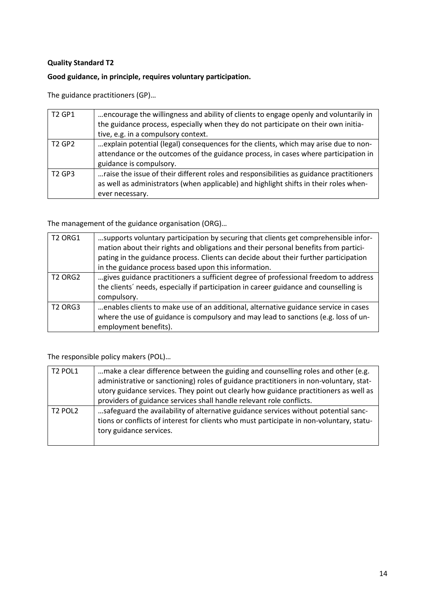# **Good guidance, in principle, requires voluntary participation.**

The guidance practitioners (GP)…

| <b>T2 GP1</b>                  | encourage the willingness and ability of clients to engage openly and voluntarily in<br>the guidance process, especially when they do not participate on their own initia-<br>tive, e.g. in a compulsory context. |
|--------------------------------|-------------------------------------------------------------------------------------------------------------------------------------------------------------------------------------------------------------------|
| T <sub>2</sub> GP <sub>2</sub> | explain potential (legal) consequences for the clients, which may arise due to non-<br>attendance or the outcomes of the guidance process, in cases where participation in<br>guidance is compulsory.             |
| <b>T2 GP3</b>                  | raise the issue of their different roles and responsibilities as guidance practitioners<br>as well as administrators (when applicable) and highlight shifts in their roles when-<br>ever necessary.               |

The management of the guidance organisation (ORG)…

| <b>T2 ORG1</b> | supports voluntary participation by securing that clients get comprehensible infor-<br>mation about their rights and obligations and their personal benefits from partici-<br>pating in the guidance process. Clients can decide about their further participation<br>in the guidance process based upon this information. |
|----------------|----------------------------------------------------------------------------------------------------------------------------------------------------------------------------------------------------------------------------------------------------------------------------------------------------------------------------|
| <b>T2 ORG2</b> | gives guidance practitioners a sufficient degree of professional freedom to address<br>the clients' needs, especially if participation in career guidance and counselling is<br>compulsory.                                                                                                                                |
| <b>T2 ORG3</b> | enables clients to make use of an additional, alternative guidance service in cases<br>where the use of guidance is compulsory and may lead to sanctions (e.g. loss of un-<br>employment benefits).                                                                                                                        |

| <b>T2 POL1</b>                  | make a clear difference between the guiding and counselling roles and other (e.g.        |
|---------------------------------|------------------------------------------------------------------------------------------|
|                                 | administrative or sanctioning) roles of guidance practitioners in non-voluntary, stat-   |
|                                 | utory guidance services. They point out clearly how guidance practitioners as well as    |
|                                 | providers of guidance services shall handle relevant role conflicts.                     |
| T <sub>2</sub> POL <sub>2</sub> | safeguard the availability of alternative guidance services without potential sanc-      |
|                                 | tions or conflicts of interest for clients who must participate in non-voluntary, statu- |
|                                 | tory guidance services.                                                                  |
|                                 |                                                                                          |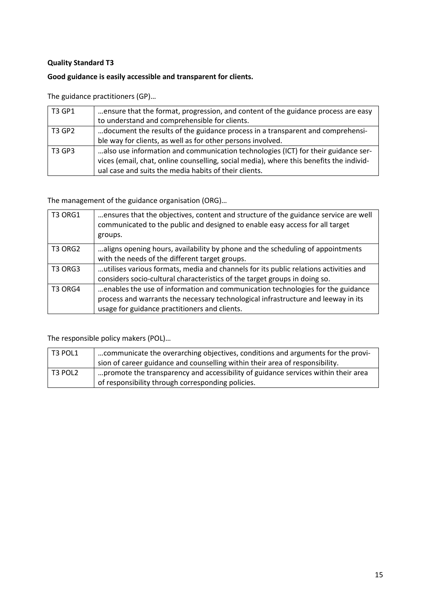# **Good guidance is easily accessible and transparent for clients.**

The guidance practitioners (GP)…

| <b>T3 GP1</b> | ensure that the format, progression, and content of the guidance process are easy       |
|---------------|-----------------------------------------------------------------------------------------|
|               | to understand and comprehensible for clients.                                           |
| T3 GP2        | document the results of the guidance process in a transparent and comprehensi-          |
|               | ble way for clients, as well as for other persons involved.                             |
| <b>T3 GP3</b> | also use information and communication technologies (ICT) for their guidance ser-       |
|               | vices (email, chat, online counselling, social media), where this benefits the individ- |
|               | ual case and suits the media habits of their clients.                                   |

The management of the guidance organisation (ORG)…

| <b>T3 ORG1</b> | ensures that the objectives, content and structure of the guidance service are well<br>communicated to the public and designed to enable easy access for all target<br>groups.                                       |
|----------------|----------------------------------------------------------------------------------------------------------------------------------------------------------------------------------------------------------------------|
| T3 ORG2        | aligns opening hours, availability by phone and the scheduling of appointments<br>with the needs of the different target groups.                                                                                     |
| T3 ORG3        | utilises various formats, media and channels for its public relations activities and<br>considers socio-cultural characteristics of the target groups in doing so.                                                   |
| T3 ORG4        | enables the use of information and communication technologies for the guidance<br>process and warrants the necessary technological infrastructure and leeway in its<br>usage for guidance practitioners and clients. |

| T3 POL1 | communicate the overarching objectives, conditions and arguments for the provi-   |
|---------|-----------------------------------------------------------------------------------|
|         | sion of career guidance and counselling within their area of responsibility.      |
| T3 POL2 | promote the transparency and accessibility of guidance services within their area |
|         | of responsibility through corresponding policies.                                 |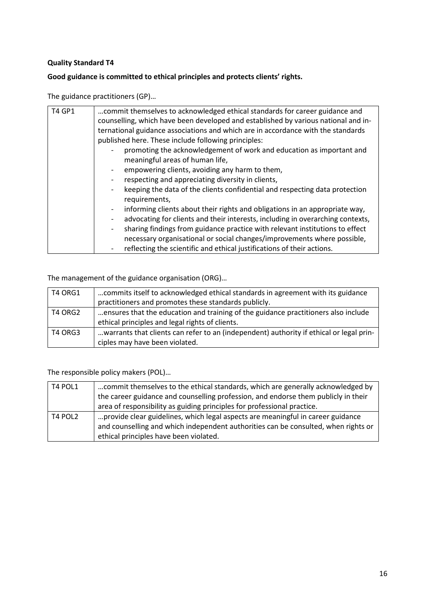# **Good guidance is committed to ethical principles and protects clients' rights.**

The guidance practitioners (GP)…

| <b>T4 GP1</b> | commit themselves to acknowledged ethical standards for career guidance and        |
|---------------|------------------------------------------------------------------------------------|
|               | counselling, which have been developed and established by various national and in- |
|               | ternational guidance associations and which are in accordance with the standards   |
|               | published here. These include following principles:                                |
|               | promoting the acknowledgement of work and education as important and               |
|               | meaningful areas of human life,                                                    |
|               | empowering clients, avoiding any harm to them,                                     |
|               | respecting and appreciating diversity in clients,                                  |
|               | keeping the data of the clients confidential and respecting data protection        |
|               | requirements,                                                                      |
|               | informing clients about their rights and obligations in an appropriate way,        |
|               | advocating for clients and their interests, including in overarching contexts,     |
|               | sharing findings from guidance practice with relevant institutions to effect       |
|               | necessary organisational or social changes/improvements where possible,            |
|               | reflecting the scientific and ethical justifications of their actions.<br>-        |

The management of the guidance organisation (ORG)…

| T4 ORG1 | commits itself to acknowledged ethical standards in agreement with its guidance         |
|---------|-----------------------------------------------------------------------------------------|
|         | practitioners and promotes these standards publicly.                                    |
| T4 ORG2 | ensures that the education and training of the guidance practitioners also include      |
|         | ethical principles and legal rights of clients.                                         |
| T4 ORG3 | warrants that clients can refer to an (independent) authority if ethical or legal prin- |
|         | ciples may have been violated.                                                          |

| T4 POL1 | commit themselves to the ethical standards, which are generally acknowledged by<br>the career guidance and counselling profession, and endorse them publicly in their |
|---------|-----------------------------------------------------------------------------------------------------------------------------------------------------------------------|
|         | area of responsibility as guiding principles for professional practice.                                                                                               |
| T4 POL2 | provide clear guidelines, which legal aspects are meaningful in career guidance<br>and counselling and which independent authorities can be consulted, when rights or |
|         | ethical principles have been violated.                                                                                                                                |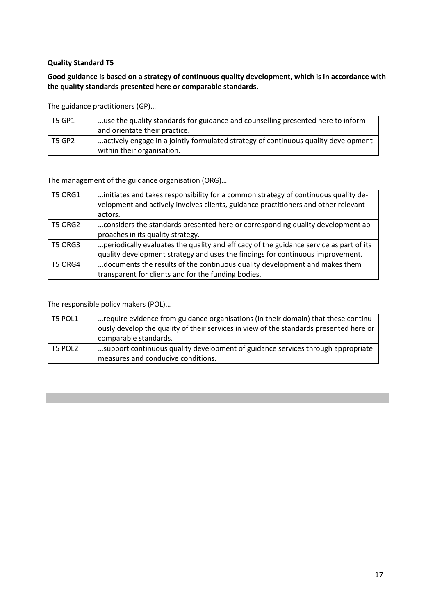# **Good guidance is based on a strategy of continuous quality development, which is in accordance with the quality standards presented here or comparable standards.**

The guidance practitioners (GP)…

| T5 GP1 | use the quality standards for guidance and counselling presented here to inform                                  |
|--------|------------------------------------------------------------------------------------------------------------------|
|        | and orientate their practice.                                                                                    |
| T5 GP2 | actively engage in a jointly formulated strategy of continuous quality development<br>within their organisation. |

The management of the guidance organisation (ORG)…

| <b>T5 ORG1</b> | initiates and takes responsibility for a common strategy of continuous quality de-<br>velopment and actively involves clients, guidance practitioners and other relevant |
|----------------|--------------------------------------------------------------------------------------------------------------------------------------------------------------------------|
|                | actors.                                                                                                                                                                  |
| <b>T5 ORG2</b> | considers the standards presented here or corresponding quality development ap-                                                                                          |
|                | proaches in its quality strategy.                                                                                                                                        |
| T5 ORG3        | periodically evaluates the quality and efficacy of the guidance service as part of its                                                                                   |
|                | quality development strategy and uses the findings for continuous improvement.                                                                                           |
| <b>T5 ORG4</b> | documents the results of the continuous quality development and makes them                                                                                               |
|                | transparent for clients and for the funding bodies.                                                                                                                      |

| T5 POL1 | require evidence from guidance organisations (in their domain) that these continu-<br>ously develop the quality of their services in view of the standards presented here or<br>comparable standards. |
|---------|-------------------------------------------------------------------------------------------------------------------------------------------------------------------------------------------------------|
| T5 POL2 | support continuous quality development of guidance services through appropriate<br>measures and conducive conditions.                                                                                 |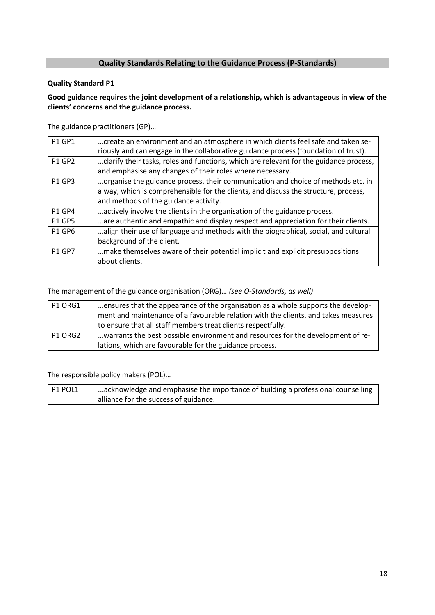# **Quality Standards Relating to the Guidance Process (P-Standards)**

#### **Quality Standard P1**

# **Good guidance requires the joint development of a relationship, which is advantageous in view of the clients' concerns and the guidance process.**

The guidance practitioners (GP)…

| <b>P1 GP1</b> | create an environment and an atmosphere in which clients feel safe and taken se-<br>riously and can engage in the collaborative guidance process (foundation of trust).                                          |
|---------------|------------------------------------------------------------------------------------------------------------------------------------------------------------------------------------------------------------------|
| <b>P1 GP2</b> | clarify their tasks, roles and functions, which are relevant for the guidance process,<br>and emphasise any changes of their roles where necessary.                                                              |
| <b>P1 GP3</b> | organise the guidance process, their communication and choice of methods etc. in<br>a way, which is comprehensible for the clients, and discuss the structure, process,<br>and methods of the guidance activity. |
| <b>P1 GP4</b> | actively involve the clients in the organisation of the guidance process.                                                                                                                                        |
| <b>P1 GP5</b> | are authentic and empathic and display respect and appreciation for their clients.                                                                                                                               |
| <b>P1 GP6</b> | align their use of language and methods with the biographical, social, and cultural<br>background of the client.                                                                                                 |
| <b>P1 GP7</b> | make themselves aware of their potential implicit and explicit presuppositions<br>about clients.                                                                                                                 |

The management of the guidance organisation (ORG)… *(see O-Standards, as well)*

| P1 ORG1 | ensures that the appearance of the organisation as a whole supports the develop-   |
|---------|------------------------------------------------------------------------------------|
|         | ment and maintenance of a favourable relation with the clients, and takes measures |
|         | to ensure that all staff members treat clients respectfully.                       |
| P1 ORG2 | warrants the best possible environment and resources for the development of re-    |
|         | lations, which are favourable for the guidance process.                            |

The responsible policy makers (POL)…

P1 POL1 | ...acknowledge and emphasise the importance of building a professional counselling alliance for the success of guidance.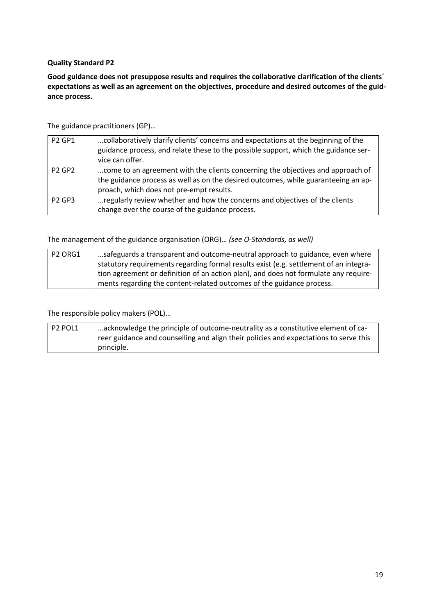**Good guidance does not presuppose results and requires the collaborative clarification of the clients´ expectations as well as an agreement on the objectives, procedure and desired outcomes of the guidance process.**

The guidance practitioners (GP)…

| <b>P2 GP1</b> | collaboratively clarify clients' concerns and expectations at the beginning of the  |
|---------------|-------------------------------------------------------------------------------------|
|               | guidance process, and relate these to the possible support, which the guidance ser- |
|               | vice can offer.                                                                     |
| <b>P2 GP2</b> | come to an agreement with the clients concerning the objectives and approach of     |
|               | the guidance process as well as on the desired outcomes, while guaranteeing an ap-  |
|               | proach, which does not pre-empt results.                                            |
| <b>P2 GP3</b> | regularly review whether and how the concerns and objectives of the clients         |
|               | change over the course of the guidance process.                                     |

The management of the guidance organisation (ORG)… *(see O-Standards, as well)*

| P <sub>2</sub> ORG1 | safeguards a transparent and outcome-neutral approach to guidance, even where         |
|---------------------|---------------------------------------------------------------------------------------|
|                     | statutory requirements regarding formal results exist (e.g. settlement of an integra- |
|                     | tion agreement or definition of an action plan), and does not formulate any require-  |
|                     | ments regarding the content-related outcomes of the guidance process.                 |

| $P2$ POL1 | acknowledge the principle of outcome-neutrality as a constitutive element of ca-      |
|-----------|---------------------------------------------------------------------------------------|
|           | reer guidance and counselling and align their policies and expectations to serve this |
|           | principle.                                                                            |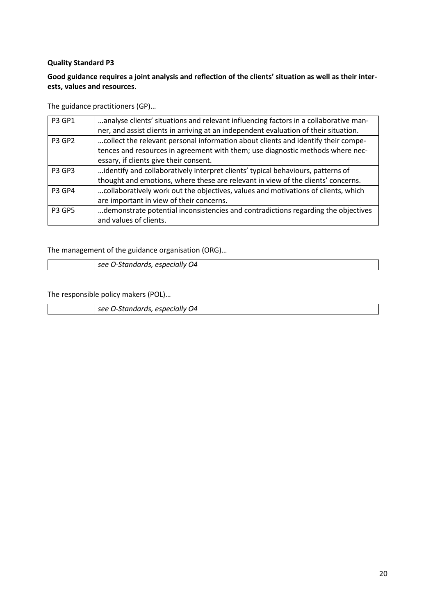# **Good guidance requires a joint analysis and reflection of the clients' situation as well as their interests, values and resources.**

The guidance practitioners (GP)…

| <b>P3 GP1</b> | analyse clients' situations and relevant influencing factors in a collaborative man- |
|---------------|--------------------------------------------------------------------------------------|
|               | ner, and assist clients in arriving at an independent evaluation of their situation. |
| <b>P3 GP2</b> | collect the relevant personal information about clients and identify their compe-    |
|               | tences and resources in agreement with them; use diagnostic methods where nec-       |
|               | essary, if clients give their consent.                                               |
| <b>P3 GP3</b> | identify and collaboratively interpret clients' typical behaviours, patterns of      |
|               | thought and emotions, where these are relevant in view of the clients' concerns.     |
| <b>P3 GP4</b> | collaboratively work out the objectives, values and motivations of clients, which    |
|               | are important in view of their concerns.                                             |
| <b>P3 GP5</b> | demonstrate potential inconsistencies and contradictions regarding the objectives    |
|               | and values of clients.                                                               |

The management of the guidance organisation (ORG)…

| ------<br>O4<br>----<br>$\sim$<br><b>SIJM</b><br>$\mathbf{v}$ |
|---------------------------------------------------------------|

The responsible policy makers (POL)…

*see O-Standards, especially O4*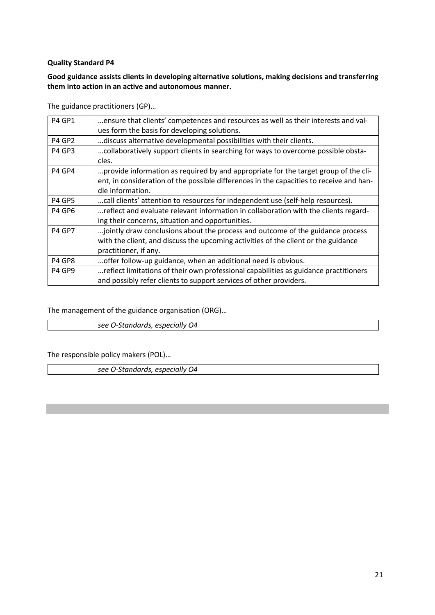# **Good guidance assists clients in developing alternative solutions, making decisions and transferring them into action in an active and autonomous manner.**

The guidance practitioners (GP)…

| <b>P4 GP1</b>                  | ensure that clients' competences and resources as well as their interests and val-      |
|--------------------------------|-----------------------------------------------------------------------------------------|
|                                | ues form the basis for developing solutions.                                            |
| <b>P4 GP2</b>                  | discuss alternative developmental possibilities with their clients.                     |
| P4 GP3                         | collaboratively support clients in searching for ways to overcome possible obsta-       |
|                                | cles.                                                                                   |
| P4 GP4                         | provide information as required by and appropriate for the target group of the cli-     |
|                                | ent, in consideration of the possible differences in the capacities to receive and han- |
|                                | dle information.                                                                        |
| P4 GP5                         | call clients' attention to resources for independent use (self-help resources).         |
| P4 GP6                         | reflect and evaluate relevant information in collaboration with the clients regard-     |
|                                | ing their concerns, situation and opportunities.                                        |
| <b>P4 GP7</b>                  | jointly draw conclusions about the process and outcome of the guidance process.         |
|                                | with the client, and discuss the upcoming activities of the client or the guidance      |
|                                | practitioner, if any.                                                                   |
| P4 GP8                         | offer follow-up guidance, when an additional need is obvious.                           |
| P <sub>4</sub> GP <sub>9</sub> | reflect limitations of their own professional capabilities as guidance practitioners    |
|                                | and possibly refer clients to support services of other providers.                      |
|                                |                                                                                         |

The management of the guidance organisation (ORG)…

| O4<br>esner<br>see |
|--------------------|
|                    |

| especially<br>------<br>O4<br>coc<br>standarus,<br>--<br>35 C |
|---------------------------------------------------------------|
|---------------------------------------------------------------|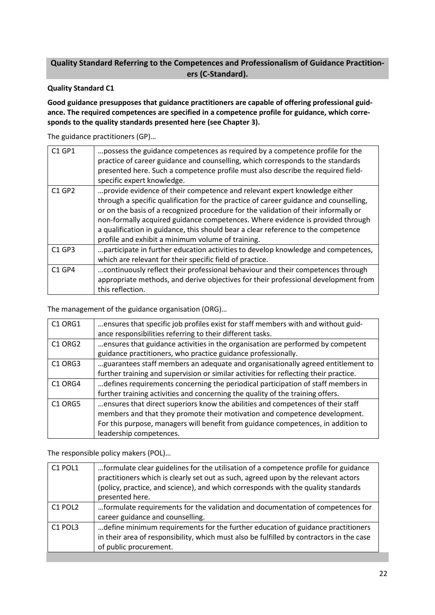# **Quality Standard Referring to the Competences and Professionalism of Guidance Practitioners (C-Standard).**

#### **Quality Standard C1**

**Good guidance presupposes that guidance practitioners are capable of offering professional guidance. The required competences are specified in a competence profile for guidance, which corresponds to the quality standards presented here (see Chapter 3).**

The guidance practitioners (GP)…

| <b>C1 GP1</b> | possess the guidance competences as required by a competence profile for the<br>practice of career guidance and counselling, which corresponds to the standards<br>presented here. Such a competence profile must also describe the required field-<br>specific expert knowledge.                                                                                                                                                                                                     |
|---------------|---------------------------------------------------------------------------------------------------------------------------------------------------------------------------------------------------------------------------------------------------------------------------------------------------------------------------------------------------------------------------------------------------------------------------------------------------------------------------------------|
| $C1$ GP2      | provide evidence of their competence and relevant expert knowledge either<br>through a specific qualification for the practice of career guidance and counselling,<br>or on the basis of a recognized procedure for the validation of their informally or<br>non-formally acquired guidance competences. Where evidence is provided through<br>a qualification in guidance, this should bear a clear reference to the competence<br>profile and exhibit a minimum volume of training. |
| $C1$ GP3      | participate in further education activities to develop knowledge and competences,<br>which are relevant for their specific field of practice.                                                                                                                                                                                                                                                                                                                                         |
| $C1$ GP4      | continuously reflect their professional behaviour and their competences through<br>appropriate methods, and derive objectives for their professional development from<br>this reflection.                                                                                                                                                                                                                                                                                             |

The management of the guidance organisation (ORG)…

| C1 ORG1                         | ensures that specific job profiles exist for staff members with and without guid-     |
|---------------------------------|---------------------------------------------------------------------------------------|
|                                 | ance responsibilities referring to their different tasks.                             |
| C <sub>1</sub> ORG <sub>2</sub> | ensures that guidance activities in the organisation are performed by competent       |
|                                 | guidance practitioners, who practice guidance professionally.                         |
| C <sub>1</sub> ORG <sub>3</sub> | guarantees staff members an adequate and organisationally agreed entitlement to       |
|                                 | further training and supervision or similar activities for reflecting their practice. |
| C <sub>1</sub> ORG <sub>4</sub> | defines requirements concerning the periodical participation of staff members in      |
|                                 | further training activities and concerning the quality of the training offers.        |
| C <sub>1</sub> ORG <sub>5</sub> | ensures that direct superiors know the abilities and competences of their staff       |
|                                 | members and that they promote their motivation and competence development.            |
|                                 | For this purpose, managers will benefit from guidance competences, in addition to     |
|                                 | leadership competences.                                                               |

| C1 POL1                         | formulate clear guidelines for the utilisation of a competence profile for guidance<br>practitioners which is clearly set out as such, agreed upon by the relevant actors<br>(policy, practice, and science), and which corresponds with the quality standards<br>presented here. |
|---------------------------------|-----------------------------------------------------------------------------------------------------------------------------------------------------------------------------------------------------------------------------------------------------------------------------------|
| C1 POL2                         | formulate requirements for the validation and documentation of competences for<br>career guidance and counselling.                                                                                                                                                                |
| C <sub>1</sub> POL <sub>3</sub> | define minimum requirements for the further education of guidance practitioners<br>in their area of responsibility, which must also be fulfilled by contractors in the case<br>of public procurement.                                                                             |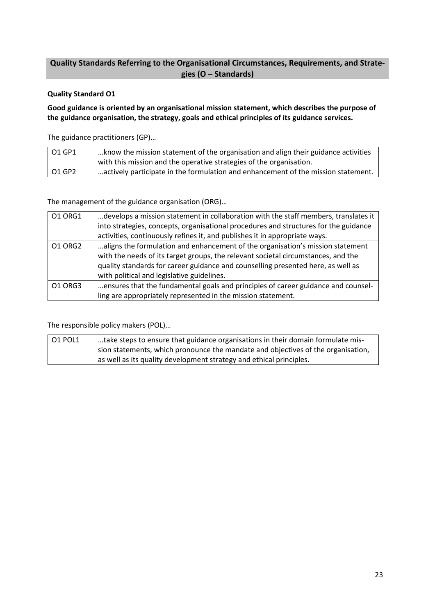# **Quality Standards Referring to the Organisational Circumstances, Requirements, and Strategies (O – Standards)**

# **Quality Standard O1**

**Good guidance is oriented by an organisational mission statement, which describes the purpose of the guidance organisation, the strategy, goals and ethical principles of its guidance services.**

The guidance practitioners (GP)…

| O1 GP1 | know the mission statement of the organisation and align their guidance activities<br>with this mission and the operative strategies of the organisation. |
|--------|-----------------------------------------------------------------------------------------------------------------------------------------------------------|
| 01 GP2 | actively participate in the formulation and enhancement of the mission statement.                                                                         |

The management of the guidance organisation (ORG)…

| 01 ORG1 | develops a mission statement in collaboration with the staff members, translates it  |
|---------|--------------------------------------------------------------------------------------|
|         | into strategies, concepts, organisational procedures and structures for the guidance |
|         | activities, continuously refines it, and publishes it in appropriate ways.           |
| 01 ORG2 | aligns the formulation and enhancement of the organisation's mission statement       |
|         | with the needs of its target groups, the relevant societal circumstances, and the    |
|         | quality standards for career guidance and counselling presented here, as well as     |
|         | with political and legislative guidelines.                                           |
| 01 ORG3 | ensures that the fundamental goals and principles of career guidance and counsel-    |
|         | ling are appropriately represented in the mission statement.                         |

| $\vert$ 01 POL1 | l take steps to ensure that guidance organisations in their domain formulate mis- |
|-----------------|-----------------------------------------------------------------------------------|
|                 | sion statements, which pronounce the mandate and objectives of the organisation,  |
|                 | as well as its quality development strategy and ethical principles.               |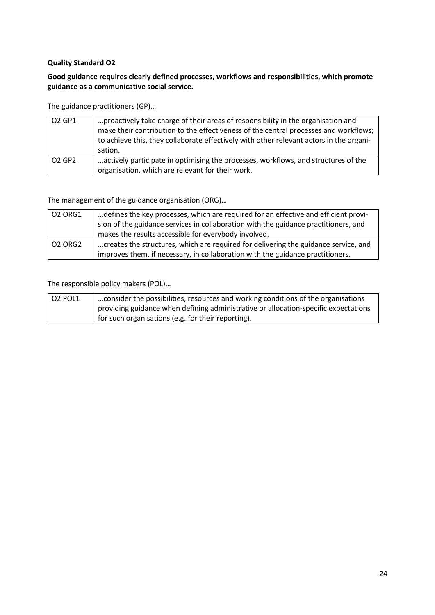# **Good guidance requires clearly defined processes, workflows and responsibilities, which promote guidance as a communicative social service.**

The guidance practitioners (GP)…

| O2 GP1                         | proactively take charge of their areas of responsibility in the organisation and<br>make their contribution to the effectiveness of the central processes and workflows;<br>to achieve this, they collaborate effectively with other relevant actors in the organi-<br>sation. |
|--------------------------------|--------------------------------------------------------------------------------------------------------------------------------------------------------------------------------------------------------------------------------------------------------------------------------|
| O <sub>2</sub> GP <sub>2</sub> | actively participate in optimising the processes, workflows, and structures of the<br>organisation, which are relevant for their work.                                                                                                                                         |

The management of the guidance organisation (ORG)…

| <b>02 ORG1</b> | defines the key processes, which are required for an effective and efficient provi-<br>sion of the guidance services in collaboration with the guidance practitioners, and |
|----------------|----------------------------------------------------------------------------------------------------------------------------------------------------------------------------|
|                | makes the results accessible for everybody involved.                                                                                                                       |
| <b>O2 ORG2</b> | creates the structures, which are required for delivering the guidance service, and                                                                                        |
|                | improves them, if necessary, in collaboration with the guidance practitioners.                                                                                             |

| 02 POL1 | $\vert$ consider the possibilities, resources and working conditions of the organisations   |
|---------|---------------------------------------------------------------------------------------------|
|         | $\perp$ providing guidance when defining administrative or allocation-specific expectations |
|         | for such organisations (e.g. for their reporting).                                          |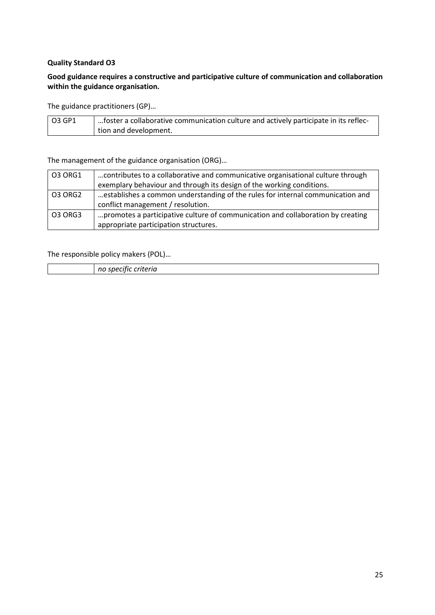# **Good guidance requires a constructive and participative culture of communication and collaboration within the guidance organisation.**

The guidance practitioners (GP)…

| 03 GP1 | foster a collaborative communication culture and actively participate in its reflec- |
|--------|--------------------------------------------------------------------------------------|
|        | tion and development.                                                                |

The management of the guidance organisation (ORG)…

| 03 ORG1        | contributes to a collaborative and communicative organisational culture through |
|----------------|---------------------------------------------------------------------------------|
|                | exemplary behaviour and through its design of the working conditions.           |
| 03 ORG2        | establishes a common understanding of the rules for internal communication and  |
|                | conflict management / resolution.                                               |
| <b>03 ORG3</b> | promotes a participative culture of communication and collaboration by creating |
|                | appropriate participation structures.                                           |

|  |  | .<br>$\overline{ }$<br>.<br>. |
|--|--|-------------------------------|
|--|--|-------------------------------|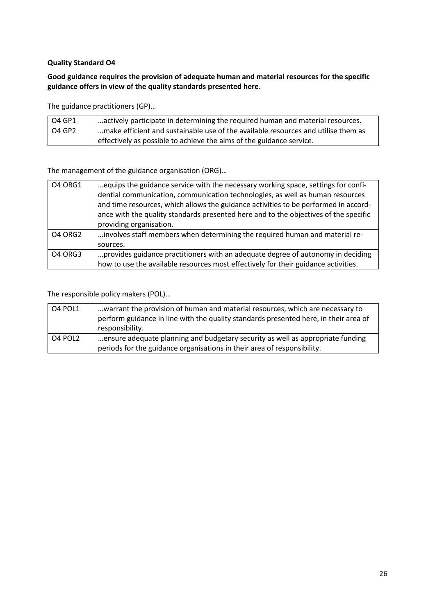# **Good guidance requires the provision of adequate human and material resources for the specific guidance offers in view of the quality standards presented here.**

The guidance practitioners (GP)…

| O4 GP1   | actively participate in determining the required human and material resources.    |
|----------|-----------------------------------------------------------------------------------|
| l O4 GP2 | make efficient and sustainable use of the available resources and utilise them as |
|          | effectively as possible to achieve the aims of the guidance service.              |

The management of the guidance organisation (ORG)…

| <b>04 ORG1</b> | equips the guidance service with the necessary working space, settings for confi-<br>dential communication, communication technologies, as well as human resources<br>and time resources, which allows the guidance activities to be performed in accord-<br>ance with the quality standards presented here and to the objectives of the specific<br>providing organisation. |
|----------------|------------------------------------------------------------------------------------------------------------------------------------------------------------------------------------------------------------------------------------------------------------------------------------------------------------------------------------------------------------------------------|
| <b>04 ORG2</b> | involves staff members when determining the required human and material re-<br>sources.                                                                                                                                                                                                                                                                                      |
| 04 ORG3        | provides guidance practitioners with an adequate degree of autonomy in deciding<br>how to use the available resources most effectively for their guidance activities.                                                                                                                                                                                                        |

| O4 POL1 | warrant the provision of human and material resources, which are necessary to<br>perform guidance in line with the quality standards presented here, in their area of<br>responsibility. |
|---------|------------------------------------------------------------------------------------------------------------------------------------------------------------------------------------------|
| O4 POL2 | ensure adequate planning and budgetary security as well as appropriate funding<br>periods for the guidance organisations in their area of responsibility.                                |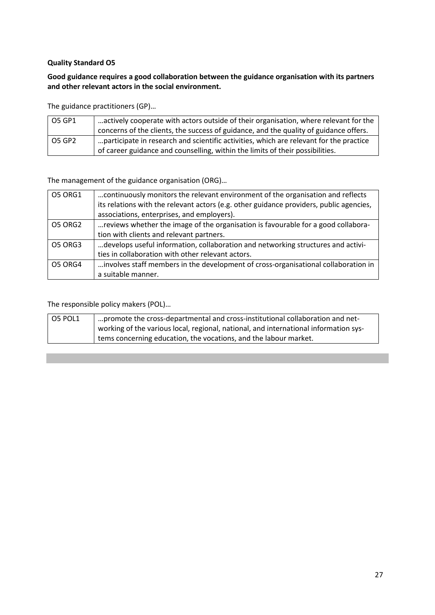### **Good guidance requires a good collaboration between the guidance organisation with its partners and other relevant actors in the social environment.**

The guidance practitioners (GP)…

| O5 GP1 | actively cooperate with actors outside of their organisation, where relevant for the   |
|--------|----------------------------------------------------------------------------------------|
|        | concerns of the clients, the success of guidance, and the quality of guidance offers.  |
| O5 GP2 | participate in research and scientific activities, which are relevant for the practice |
|        | of career guidance and counselling, within the limits of their possibilities.          |

The management of the guidance organisation (ORG)…

| <b>05 ORG1</b> | continuously monitors the relevant environment of the organisation and reflects         |
|----------------|-----------------------------------------------------------------------------------------|
|                | its relations with the relevant actors (e.g. other guidance providers, public agencies, |
|                | associations, enterprises, and employers).                                              |
| <b>O5 ORG2</b> | reviews whether the image of the organisation is favourable for a good collabora-       |
|                | tion with clients and relevant partners.                                                |
| O5 ORG3        | develops useful information, collaboration and networking structures and activi-        |
|                | ties in collaboration with other relevant actors.                                       |
| O5 ORG4        | involves staff members in the development of cross-organisational collaboration in      |
|                | a suitable manner.                                                                      |

| O5 POL1 | "promote the cross-departmental and cross-institutional collaboration and net-       |
|---------|--------------------------------------------------------------------------------------|
|         | working of the various local, regional, national, and international information sys- |
|         | tems concerning education, the vocations, and the labour market.                     |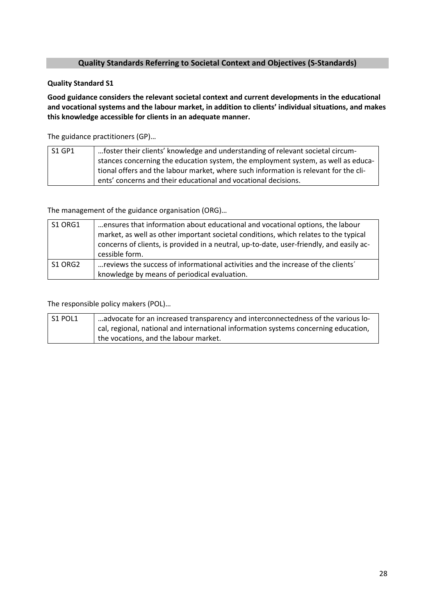# **Quality Standards Referring to Societal Context and Objectives (S-Standards)**

#### **Quality Standard S1**

**Good guidance considers the relevant societal context and current developments in the educational and vocational systems and the labour market, in addition to clients' individual situations, and makes this knowledge accessible for clients in an adequate manner.**

The guidance practitioners (GP)…

| S1 GP1 | 1. foster their clients' knowledge and understanding of relevant societal circum-    |
|--------|--------------------------------------------------------------------------------------|
|        | stances concerning the education system, the employment system, as well as educa-    |
|        | tional offers and the labour market, where such information is relevant for the cli- |
|        | ents' concerns and their educational and vocational decisions.                       |

The management of the guidance organisation (ORG)…

| S1 ORG1 | ensures that information about educational and vocational options, the labour<br>market, as well as other important societal conditions, which relates to the typical<br>concerns of clients, is provided in a neutral, up-to-date, user-friendly, and easily ac-<br>cessible form. |
|---------|-------------------------------------------------------------------------------------------------------------------------------------------------------------------------------------------------------------------------------------------------------------------------------------|
| S1 ORG2 | reviews the success of informational activities and the increase of the clients'<br>knowledge by means of periodical evaluation.                                                                                                                                                    |

| S1 POL1 | $^{\prime}$ advocate for an increased transparency and interconnectedness of the various lo- |
|---------|----------------------------------------------------------------------------------------------|
|         | cal, regional, national and international information systems concerning education,          |
|         | the vocations, and the labour market.                                                        |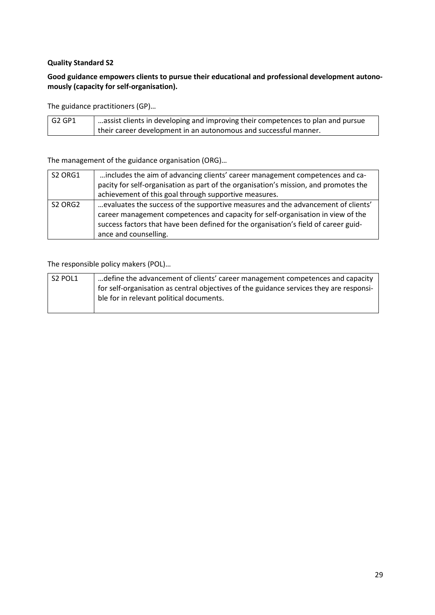# **Good guidance empowers clients to pursue their educational and professional development autonomously (capacity for self-organisation).**

The guidance practitioners (GP)…

| ' G2 GP1 | assist clients in developing and improving their competences to plan and pursue |
|----------|---------------------------------------------------------------------------------|
|          | their career development in an autonomous and successful manner.                |

The management of the guidance organisation (ORG)…

| S2 ORG1                         | includes the aim of advancing clients' career management competences and ca-         |
|---------------------------------|--------------------------------------------------------------------------------------|
|                                 | pacity for self-organisation as part of the organisation's mission, and promotes the |
|                                 | achievement of this goal through supportive measures.                                |
| S <sub>2</sub> ORG <sub>2</sub> | evaluates the success of the supportive measures and the advancement of clients'     |
|                                 | career management competences and capacity for self-organisation in view of the      |
|                                 | success factors that have been defined for the organisation's field of career guid-  |
|                                 | ance and counselling.                                                                |

| S2 POL1 | define the advancement of clients' career management competences and capacity           |
|---------|-----------------------------------------------------------------------------------------|
|         | for self-organisation as central objectives of the guidance services they are responsi- |
|         | ble for in relevant political documents.                                                |
|         |                                                                                         |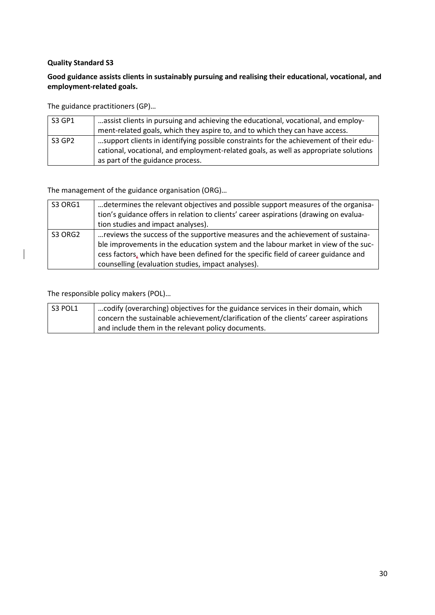# **Good guidance assists clients in sustainably pursuing and realising their educational, vocational, and employment-related goals.**

The guidance practitioners (GP)…

| S3 GP1 | assist clients in pursuing and achieving the educational, vocational, and employ-<br>ment-related goals, which they aspire to, and to which they can have access.                                                 |
|--------|-------------------------------------------------------------------------------------------------------------------------------------------------------------------------------------------------------------------|
| S3 GP2 | support clients in identifying possible constraints for the achievement of their edu-<br>cational, vocational, and employment-related goals, as well as appropriate solutions<br>as part of the guidance process. |

The management of the guidance organisation (ORG)…

| S3 ORG1 | determines the relevant objectives and possible support measures of the organisa-<br>tion's guidance offers in relation to clients' career aspirations (drawing on evalua-                                                                                                                                         |
|---------|--------------------------------------------------------------------------------------------------------------------------------------------------------------------------------------------------------------------------------------------------------------------------------------------------------------------|
|         | tion studies and impact analyses).                                                                                                                                                                                                                                                                                 |
| S3 ORG2 | reviews the success of the supportive measures and the achievement of sustaina-<br>ble improvements in the education system and the labour market in view of the suc-<br>cess factors, which have been defined for the specific field of career guidance and<br>counselling (evaluation studies, impact analyses). |

| S3 POL1 | codify (overarching) objectives for the guidance services in their domain, which     |
|---------|--------------------------------------------------------------------------------------|
|         | concern the sustainable achievement/clarification of the clients' career aspirations |
|         | and include them in the relevant policy documents.                                   |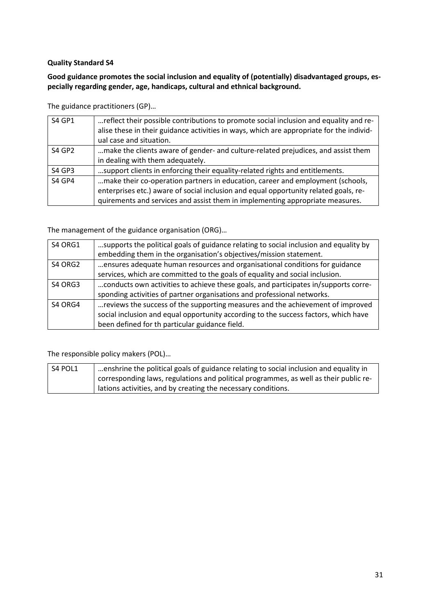# **Good guidance promotes the social inclusion and equality of (potentially) disadvantaged groups, especially regarding gender, age, handicaps, cultural and ethnical background.**

The guidance practitioners (GP)…

| <b>S4 GP1</b> | reflect their possible contributions to promote social inclusion and equality and re-<br>alise these in their guidance activities in ways, which are appropriate for the individ-<br>ual case and situation.                                            |
|---------------|---------------------------------------------------------------------------------------------------------------------------------------------------------------------------------------------------------------------------------------------------------|
| <b>S4 GP2</b> | make the clients aware of gender- and culture-related prejudices, and assist them<br>in dealing with them adequately.                                                                                                                                   |
| <b>S4 GP3</b> | support clients in enforcing their equality-related rights and entitlements.                                                                                                                                                                            |
| <b>S4 GP4</b> | make their co-operation partners in education, career and employment (schools,<br>enterprises etc.) aware of social inclusion and equal opportunity related goals, re-<br>quirements and services and assist them in implementing appropriate measures. |

The management of the guidance organisation (ORG)…

| S4 ORG1 | supports the political goals of guidance relating to social inclusion and equality by |
|---------|---------------------------------------------------------------------------------------|
|         | embedding them in the organisation's objectives/mission statement.                    |
| S4 ORG2 | ensures adequate human resources and organisational conditions for guidance           |
|         | services, which are committed to the goals of equality and social inclusion.          |
| S4 ORG3 | conducts own activities to achieve these goals, and participates in/supports corre-   |
|         | sponding activities of partner organisations and professional networks.               |
| S4 ORG4 | reviews the success of the supporting measures and the achievement of improved        |
|         | social inclusion and equal opportunity according to the success factors, which have   |
|         | been defined for th particular guidance field.                                        |

| S4 POL1 | $\vert$ enshrine the political goals of guidance relating to social inclusion and equality in |
|---------|-----------------------------------------------------------------------------------------------|
|         | corresponding laws, regulations and political programmes, as well as their public re-         |
|         | lations activities, and by creating the necessary conditions.                                 |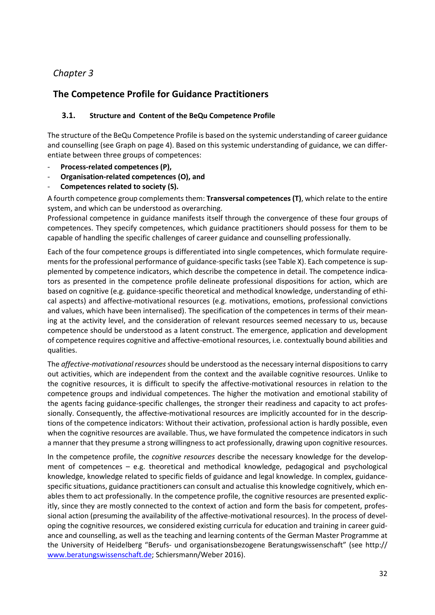# *Chapter 3*

# **The Competence Profile for Guidance Practitioners**

# **3.1. Structure and Content of the BeQu Competence Profile**

The structure of the BeQu Competence Profile is based on the systemic understanding of career guidance and counselling (see Graph on page 4). Based on this systemic understanding of guidance, we can differentiate between three groups of competences:

- **Process-related competences (P),**
- **Organisation-related competences (O), and**
- **Competences related to society (S).**

A fourth competence group complements them: **Transversal competences (T)**, which relate to the entire system, and which can be understood as overarching.

Professional competence in guidance manifests itself through the convergence of these four groups of competences. They specify competences, which guidance practitioners should possess for them to be capable of handling the specific challenges of career guidance and counselling professionally.

Each of the four competence groups is differentiated into single competences, which formulate requirements for the professional performance of guidance-specific tasks (see Table X). Each competence is supplemented by competence indicators, which describe the competence in detail. The competence indicators as presented in the competence profile delineate professional dispositions for action, which are based on cognitive (e.g. guidance-specific theoretical and methodical knowledge, understanding of ethical aspects) and affective-motivational resources (e.g. motivations, emotions, professional convictions and values, which have been internalised). The specification of the competences in terms of their meaning at the activity level, and the consideration of relevant resources seemed necessary to us, because competence should be understood as a latent construct. The emergence, application and development of competence requires cognitive and affective-emotional resources, i.e. contextually bound abilities and qualities.

The *affective-motivational resources* should be understood as the necessary internal dispositions to carry out activities, which are independent from the context and the available cognitive resources. Unlike to the cognitive resources, it is difficult to specify the affective-motivational resources in relation to the competence groups and individual competences. The higher the motivation and emotional stability of the agents facing guidance-specific challenges, the stronger their readiness and capacity to act professionally. Consequently, the affective-motivational resources are implicitly accounted for in the descriptions of the competence indicators: Without their activation, professional action is hardly possible, even when the cognitive resources are available. Thus, we have formulated the competence indicators in such a manner that they presume a strong willingness to act professionally, drawing upon cognitive resources.

In the competence profile, the *cognitive resources* describe the necessary knowledge for the development of competences – e.g. theoretical and methodical knowledge, pedagogical and psychological knowledge, knowledge related to specific fields of guidance and legal knowledge. In complex, guidancespecific situations, guidance practitioners can consult and actualise this knowledge cognitively, which enables them to act professionally. In the competence profile, the cognitive resources are presented explicitly, since they are mostly connected to the context of action and form the basis for competent, professional action (presuming the availability of the affective-motivational resources). In the process of developing the cognitive resources, we considered existing curricula for education and training in career guidance and counselling, as well as the teaching and learning contents of the German Master Programme at the University of Heidelberg "Berufs- und organisationsbezogene Beratungswissenschaft" (see http:// [www.beratungswissenschaft.de;](http://www.beratungswissenschaft.de/) Schiersmann/Weber 2016).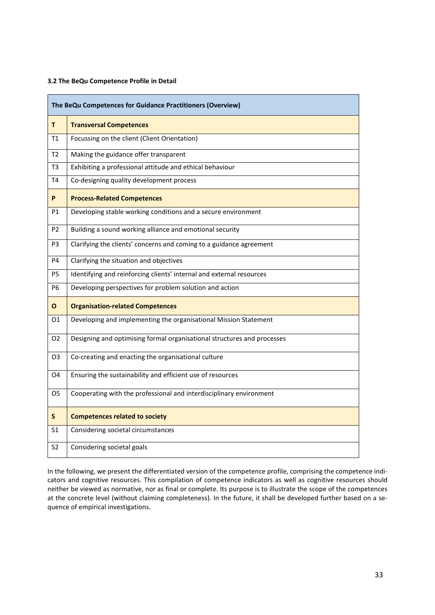#### **3.2 The BeQu Competence Profile in Detail**

| The BeQu Competences for Guidance Practitioners (Overview) |                                                                         |
|------------------------------------------------------------|-------------------------------------------------------------------------|
| T                                                          | <b>Transversal Competences</b>                                          |
| <b>T1</b>                                                  | Focussing on the client (Client Orientation)                            |
| T <sub>2</sub>                                             | Making the guidance offer transparent                                   |
| T <sub>3</sub>                                             | Exhibiting a professional attitude and ethical behaviour                |
| T4                                                         | Co-designing quality development process                                |
| P.                                                         | <b>Process-Related Competences</b>                                      |
| P1                                                         | Developing stable working conditions and a secure environment           |
| P <sub>2</sub>                                             | Building a sound working alliance and emotional security                |
| P <sub>3</sub>                                             | Clarifying the clients' concerns and coming to a guidance agreement     |
| P4                                                         | Clarifying the situation and objectives                                 |
| P5                                                         | Identifying and reinforcing clients' internal and external resources    |
| <b>P6</b>                                                  | Developing perspectives for problem solution and action                 |
| О                                                          | <b>Organisation-related Competences</b>                                 |
| 01                                                         | Developing and implementing the organisational Mission Statement        |
| O <sub>2</sub>                                             | Designing and optimising formal organisational structures and processes |
| O3                                                         | Co-creating and enacting the organisational culture                     |
| O4                                                         | Ensuring the sustainability and efficient use of resources              |
| O5                                                         | Cooperating with the professional and interdisciplinary environment     |
| S                                                          | <b>Competences related to society</b>                                   |
| S <sub>1</sub>                                             | Considering societal circumstances                                      |
| S2                                                         | Considering societal goals                                              |

In the following, we present the differentiated version of the competence profile, comprising the competence indicators and cognitive resources. This compilation of competence indicators as well as cognitive resources should neither be viewed as normative, nor as final or complete. Its purpose is to illustrate the scope of the competences at the concrete level (without claiming completeness). In the future, it shall be developed further based on a sequence of empirical investigations.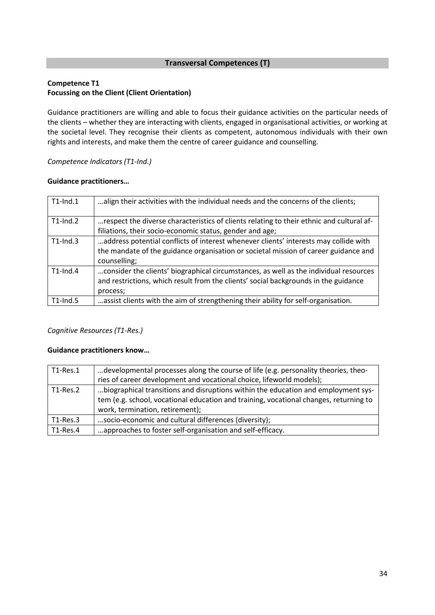# **Transversal Competences (T)**

# **Competence T1 Focussing on the Client (Client Orientation)**

Guidance practitioners are willing and able to focus their guidance activities on the particular needs of the clients – whether they are interacting with clients, engaged in organisational activities, or working at the societal level. They recognise their clients as competent, autonomous individuals with their own rights and interests, and make them the centre of career guidance and counselling.

*Competence Indicators (T1-Ind.)*

#### **Guidance practitioners…**

| $T1$ -Ind.1 | align their activities with the individual needs and the concerns of the clients;                                                                                                           |
|-------------|---------------------------------------------------------------------------------------------------------------------------------------------------------------------------------------------|
| $T1$ -Ind.2 | respect the diverse characteristics of clients relating to their ethnic and cultural af-<br>filiations, their socio-economic status, gender and age;                                        |
| $T1$ -Ind.3 | address potential conflicts of interest whenever clients' interests may collide with<br>the mandate of the guidance organisation or societal mission of career guidance and<br>counselling; |
| $T1$ -Ind.4 | consider the clients' biographical circumstances, as well as the individual resources<br>and restrictions, which result from the clients' social backgrounds in the guidance<br>process;    |
| $T1$ -Ind.5 | assist clients with the aim of strengthening their ability for self-organisation.                                                                                                           |

# *Cognitive Resources (T1-Res.)*

| $T1$ -Res.1 | developmental processes along the course of life (e.g. personality theories, theo-                                                                                                                            |
|-------------|---------------------------------------------------------------------------------------------------------------------------------------------------------------------------------------------------------------|
|             | ries of career development and vocational choice, lifeworld models);                                                                                                                                          |
| $T1$ -Res.2 | biographical transitions and disruptions within the education and employment sys-<br>tem (e.g. school, vocational education and training, vocational changes, returning to<br>work, termination, retirement); |
| $T1$ -Res.3 | socio-economic and cultural differences (diversity);                                                                                                                                                          |
| $T1$ -Res.4 | approaches to foster self-organisation and self-efficacy.                                                                                                                                                     |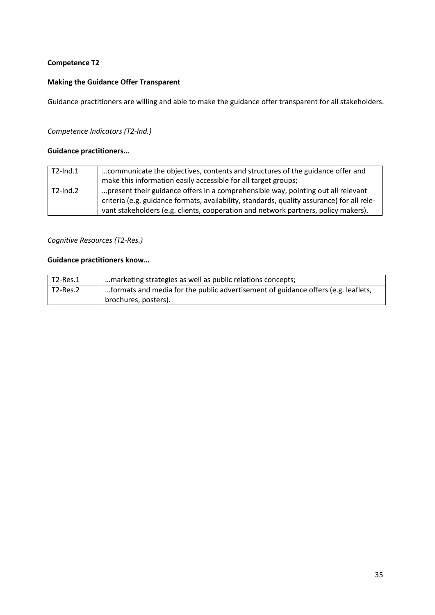# **Making the Guidance Offer Transparent**

Guidance practitioners are willing and able to make the guidance offer transparent for all stakeholders.

#### *Competence Indicators (T2-Ind.)*

### **Guidance practitioners…**

| $T2$ -Ind.1    | communicate the objectives, contents and structures of the guidance offer and<br>make this information easily accessible for all target groups; |
|----------------|-------------------------------------------------------------------------------------------------------------------------------------------------|
|                |                                                                                                                                                 |
| $T2$ -Ind. $2$ | present their guidance offers in a comprehensible way, pointing out all relevant                                                                |
|                | criteria (e.g. guidance formats, availability, standards, quality assurance) for all rele-                                                      |
|                | vant stakeholders (e.g. clients, cooperation and network partners, policy makers).                                                              |

# *Cognitive Resources (T2-Res.)*

| $T2$ -Res.1 | marketing strategies as well as public relations concepts;                        |
|-------------|-----------------------------------------------------------------------------------|
| $T2$ -Res.2 | formats and media for the public advertisement of guidance offers (e.g. leaflets, |
|             | brochures, posters).                                                              |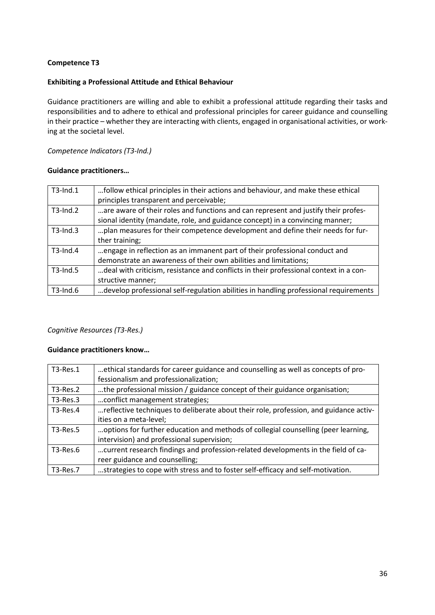#### **Exhibiting a Professional Attitude and Ethical Behaviour**

Guidance practitioners are willing and able to exhibit a professional attitude regarding their tasks and responsibilities and to adhere to ethical and professional principles for career guidance and counselling in their practice – whether they are interacting with clients, engaged in organisational activities, or working at the societal level.

*Competence Indicators (T3-Ind.)*

#### **Guidance practitioners…**

| $T3$ -Ind.1    | follow ethical principles in their actions and behaviour, and make these ethical      |
|----------------|---------------------------------------------------------------------------------------|
|                | principles transparent and perceivable;                                               |
| $T3$ -Ind. $2$ | are aware of their roles and functions and can represent and justify their profes-    |
|                | sional identity (mandate, role, and guidance concept) in a convincing manner;         |
| $T3$ -Ind.3    | plan measures for their competence development and define their needs for fur-        |
|                | ther training;                                                                        |
| $T3$ -Ind.4    | engage in reflection as an immanent part of their professional conduct and            |
|                | demonstrate an awareness of their own abilities and limitations;                      |
| $T3$ -Ind.5    | deal with criticism, resistance and conflicts in their professional context in a con- |
|                | structive manner;                                                                     |
| $T3$ -Ind.6    | develop professional self-regulation abilities in handling professional requirements  |

# *Cognitive Resources (T3-Res.)*

| T3-Res.1   | ethical standards for career guidance and counselling as well as concepts of pro-     |
|------------|---------------------------------------------------------------------------------------|
|            | fessionalism and professionalization;                                                 |
| $T3-Res.2$ | the professional mission / guidance concept of their guidance organisation;           |
| $T3-Res.3$ | conflict management strategies;                                                       |
| $T3-Res.4$ | reflective techniques to deliberate about their role, profession, and guidance activ- |
|            | ities on a meta-level;                                                                |
| T3-Res.5   | options for further education and methods of collegial counselling (peer learning,    |
|            | intervision) and professional supervision;                                            |
| T3-Res.6   | current research findings and profession-related developments in the field of ca-     |
|            | reer guidance and counselling;                                                        |
| T3-Res.7   | strategies to cope with stress and to foster self-efficacy and self-motivation.       |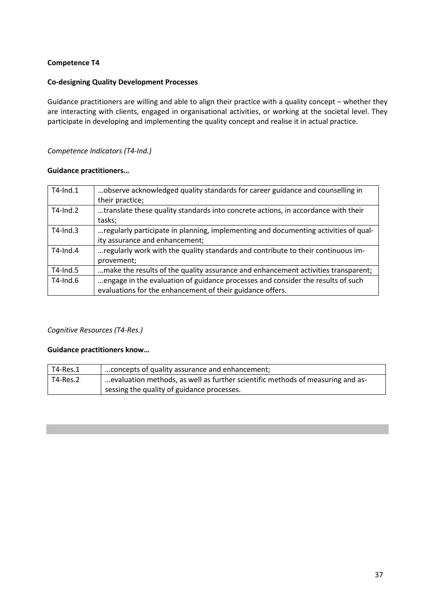#### **Co-designing Quality Development Processes**

Guidance practitioners are willing and able to align their practice with a quality concept – whether they are interacting with clients, engaged in organisational activities, or working at the societal level. They participate in developing and implementing the quality concept and realise it in actual practice.

#### *Competence Indicators (T4-Ind.)*

#### **Guidance practitioners…**

| T4-Ind.1    | observe acknowledged quality standards for career guidance and counselling in       |
|-------------|-------------------------------------------------------------------------------------|
|             | their practice;                                                                     |
| $T4$ -Ind.2 | translate these quality standards into concrete actions, in accordance with their   |
|             | tasks;                                                                              |
| $T4$ -Ind.3 | regularly participate in planning, implementing and documenting activities of qual- |
|             | ity assurance and enhancement;                                                      |
| $T4$ -Ind.4 | regularly work with the quality standards and contribute to their continuous im-    |
|             | provement;                                                                          |
| $T4$ -Ind.5 | make the results of the quality assurance and enhancement activities transparent;   |
| $T4$ -Ind.6 | engage in the evaluation of guidance processes and consider the results of such     |
|             | evaluations for the enhancement of their guidance offers.                           |

### *Cognitive Resources (T4-Res.)*

| T4-Res.1 | concepts of quality assurance and enhancement;                                 |
|----------|--------------------------------------------------------------------------------|
| T4-Res.2 | evaluation methods, as well as further scientific methods of measuring and as- |
|          | sessing the quality of guidance processes.                                     |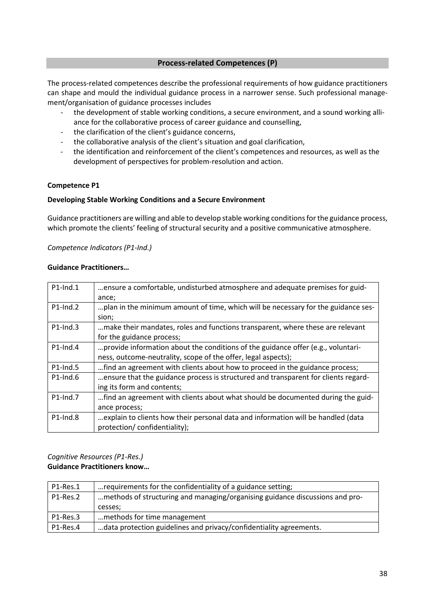#### **Process-related Competences (P)**

The process-related competences describe the professional requirements of how guidance practitioners can shape and mould the individual guidance process in a narrower sense. Such professional management/organisation of guidance processes includes

- the development of stable working conditions, a secure environment, and a sound working alliance for the collaborative process of career guidance and counselling,
- the clarification of the client's guidance concerns,
- the collaborative analysis of the client's situation and goal clarification,
- the identification and reinforcement of the client's competences and resources, as well as the development of perspectives for problem-resolution and action.

#### **Competence P1**

#### **Developing Stable Working Conditions and a Secure Environment**

Guidance practitioners are willing and able to develop stable working conditions for the guidance process, which promote the clients' feeling of structural security and a positive communicative atmosphere.

#### *Competence Indicators (P1-Ind.)*

#### **Guidance Practitioners…**

| $P1$ -Ind.1 | ensure a comfortable, undisturbed atmosphere and adequate premises for guid-       |
|-------------|------------------------------------------------------------------------------------|
|             | ance;                                                                              |
| $P1$ -Ind.2 | plan in the minimum amount of time, which will be necessary for the guidance ses-  |
|             | sion;                                                                              |
| $P1$ -Ind.3 | make their mandates, roles and functions transparent, where these are relevant     |
|             | for the guidance process;                                                          |
| $P1$ -Ind.4 | provide information about the conditions of the guidance offer (e.g., voluntari-   |
|             | ness, outcome-neutrality, scope of the offer, legal aspects);                      |
| $P1$ -Ind.5 | find an agreement with clients about how to proceed in the guidance process;       |
| $P1$ -Ind.6 | ensure that the guidance process is structured and transparent for clients regard- |
|             | ing its form and contents;                                                         |
| $P1$ -Ind.7 | find an agreement with clients about what should be documented during the guid-    |
|             | ance process;                                                                      |
| $P1$ -Ind.8 | explain to clients how their personal data and information will be handled (data   |
|             | protection/confidentiality);                                                       |

#### *Cognitive Resources (P1-Res.)* **Guidance Practitioners know…**

| P1-Res.1 | requirements for the confidentiality of a guidance setting;                  |
|----------|------------------------------------------------------------------------------|
| P1-Res.2 | methods of structuring and managing/organising guidance discussions and pro- |
|          | cesses;                                                                      |
| P1-Res.3 | methods for time management                                                  |
| P1-Res.4 | data protection guidelines and privacy/confidentiality agreements.           |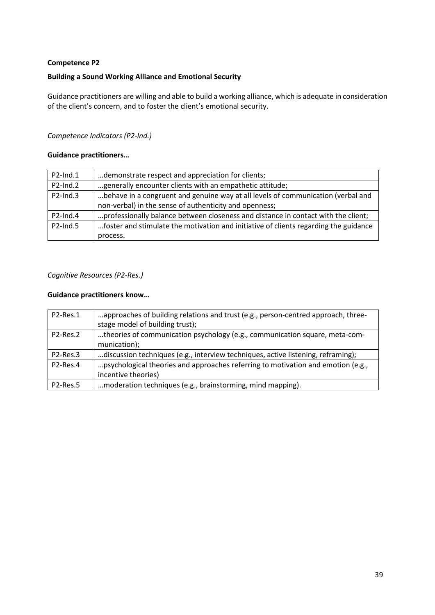### **Building a Sound Working Alliance and Emotional Security**

Guidance practitioners are willing and able to build a working alliance, which is adequate in consideration of the client's concern, and to foster the client's emotional security.

### *Competence Indicators (P2-Ind.)*

#### **Guidance practitioners…**

| P2-Ind.1       | demonstrate respect and appreciation for clients;                                    |
|----------------|--------------------------------------------------------------------------------------|
| $P2$ -Ind. $2$ | generally encounter clients with an empathetic attitude;                             |
| $P2$ -Ind.3    | behave in a congruent and genuine way at all levels of communication (verbal and     |
|                | non-verbal) in the sense of authenticity and openness;                               |
| $P2$ -Ind.4    | professionally balance between closeness and distance in contact with the client;    |
| $P2$ -Ind.5    | foster and stimulate the motivation and initiative of clients regarding the guidance |
|                | process.                                                                             |

#### *Cognitive Resources (P2-Res.)*

| P2-Res.1                          | approaches of building relations and trust (e.g., person-centred approach, three- |
|-----------------------------------|-----------------------------------------------------------------------------------|
|                                   | stage model of building trust);                                                   |
| P2-Res.2                          | theories of communication psychology (e.g., communication square, meta-com-       |
|                                   | munication);                                                                      |
| P <sub>2</sub> -Res. <sub>3</sub> | discussion techniques (e.g., interview techniques, active listening, reframing);  |
| P2-Res.4                          | psychological theories and approaches referring to motivation and emotion (e.g.,  |
|                                   | incentive theories)                                                               |
| P <sub>2</sub> -Res. <sub>5</sub> | moderation techniques (e.g., brainstorming, mind mapping).                        |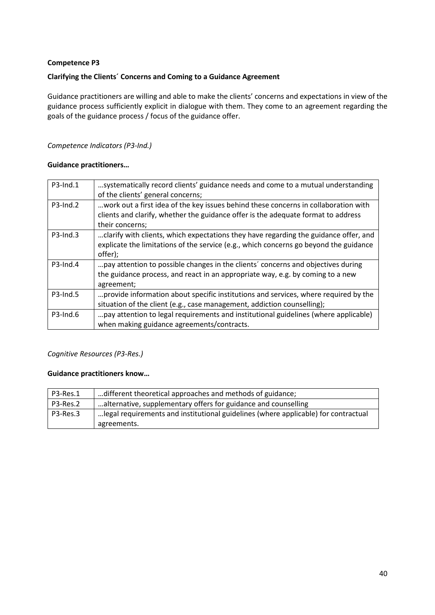# **Clarifying the Clients´ Concerns and Coming to a Guidance Agreement**

Guidance practitioners are willing and able to make the clients' concerns and expectations in view of the guidance process sufficiently explicit in dialogue with them. They come to an agreement regarding the goals of the guidance process / focus of the guidance offer.

# *Competence Indicators (P3-Ind.)*

# **Guidance practitioners…**

| $P3$ -Ind.1 | systematically record clients' guidance needs and come to a mutual understanding<br>of the clients' general concerns; |
|-------------|-----------------------------------------------------------------------------------------------------------------------|
|             |                                                                                                                       |
| $P3$ -Ind.2 | work out a first idea of the key issues behind these concerns in collaboration with                                   |
|             | clients and clarify, whether the guidance offer is the adequate format to address                                     |
|             | their concerns;                                                                                                       |
| $P3$ -Ind.3 | clarify with clients, which expectations they have regarding the guidance offer, and                                  |
|             | explicate the limitations of the service (e.g., which concerns go beyond the guidance                                 |
|             | offer);                                                                                                               |
| $P3$ -Ind.4 | pay attention to possible changes in the clients' concerns and objectives during                                      |
|             | the guidance process, and react in an appropriate way, e.g. by coming to a new                                        |
|             | agreement;                                                                                                            |
| $P3$ -Ind.5 | provide information about specific institutions and services, where required by the                                   |
|             | situation of the client (e.g., case management, addiction counselling);                                               |
| $P3$ -Ind.6 | pay attention to legal requirements and institutional guidelines (where applicable)                                   |
|             | when making guidance agreements/contracts.                                                                            |

# *Cognitive Resources (P3-Res.)*

| P3-Res.1 | different theoretical approaches and methods of guidance;                                         |
|----------|---------------------------------------------------------------------------------------------------|
| P3-Res.2 | alternative, supplementary offers for guidance and counselling                                    |
| P3-Res.3 | legal requirements and institutional guidelines (where applicable) for contractual<br>agreements. |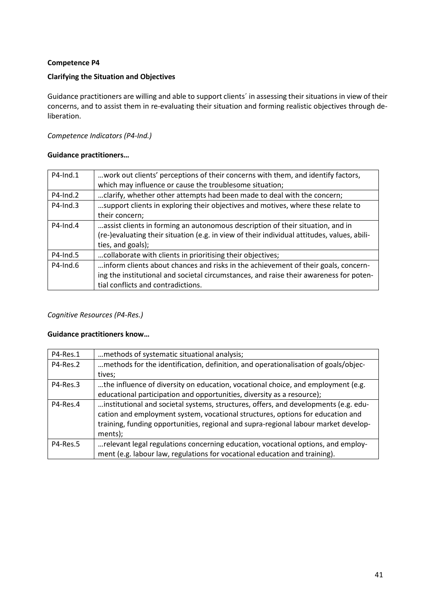### **Clarifying the Situation and Objectives**

Guidance practitioners are willing and able to support clients´ in assessing their situations in view of their concerns, and to assist them in re-evaluating their situation and forming realistic objectives through deliberation.

#### *Competence Indicators (P4-Ind.)*

#### **Guidance practitioners…**

| $P4$ -Ind.1 | work out clients' perceptions of their concerns with them, and identify factors,            |
|-------------|---------------------------------------------------------------------------------------------|
|             | which may influence or cause the troublesome situation;                                     |
| P4-Ind.2    | clarify, whether other attempts had been made to deal with the concern;                     |
| $P4$ -Ind.3 | support clients in exploring their objectives and motives, where these relate to            |
|             | their concern;                                                                              |
| $P4$ -Ind.4 | assist clients in forming an autonomous description of their situation, and in              |
|             | (re-)evaluating their situation (e.g. in view of their individual attitudes, values, abili- |
|             | ties, and goals);                                                                           |
| P4-Ind.5    | collaborate with clients in prioritising their objectives;                                  |
| $P4$ -Ind.6 | inform clients about chances and risks in the achievement of their goals, concern-          |
|             | ing the institutional and societal circumstances, and raise their awareness for poten-      |
|             | tial conflicts and contradictions.                                                          |

*Cognitive Resources (P4-Res.)*

| P4-Res.1 | methods of systematic situational analysis;                                         |
|----------|-------------------------------------------------------------------------------------|
| P4-Res.2 | methods for the identification, definition, and operationalisation of goals/objec-  |
|          | tives;                                                                              |
| P4-Res.3 | the influence of diversity on education, vocational choice, and employment (e.g.    |
|          | educational participation and opportunities, diversity as a resource);              |
| P4-Res.4 | institutional and societal systems, structures, offers, and developments (e.g. edu- |
|          | cation and employment system, vocational structures, options for education and      |
|          | training, funding opportunities, regional and supra-regional labour market develop- |
|          | ments);                                                                             |
| P4-Res.5 | relevant legal regulations concerning education, vocational options, and employ-    |
|          | ment (e.g. labour law, regulations for vocational education and training).          |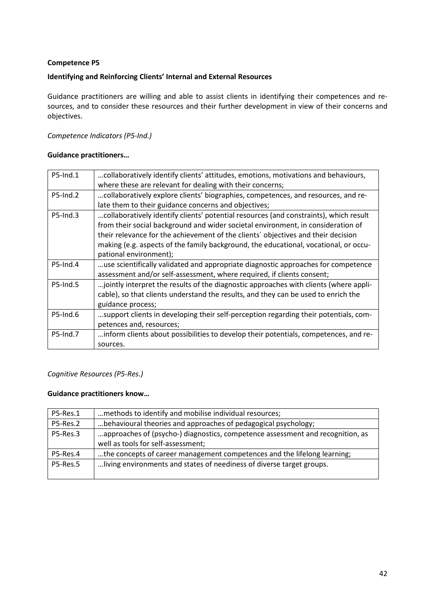### **Identifying and Reinforcing Clients' Internal and External Resources**

Guidance practitioners are willing and able to assist clients in identifying their competences and resources, and to consider these resources and their further development in view of their concerns and objectives.

### *Competence Indicators (P5-Ind.)*

#### **Guidance practitioners…**

| P5-Ind.1        | collaboratively identify clients' attitudes, emotions, motivations and behaviours,    |
|-----------------|---------------------------------------------------------------------------------------|
|                 | where these are relevant for dealing with their concerns;                             |
| $P5$ -Ind.2     | collaboratively explore clients' biographies, competences, and resources, and re-     |
|                 | late them to their guidance concerns and objectives;                                  |
| $P5$ -Ind.3     | collaboratively identify clients' potential resources (and constraints), which result |
|                 | from their social background and wider societal environment, in consideration of      |
|                 | their relevance for the achievement of the clients' objectives and their decision     |
|                 | making (e.g. aspects of the family background, the educational, vocational, or occu-  |
|                 | pational environment);                                                                |
| P5-Ind.4        | use scientifically validated and appropriate diagnostic approaches for competence     |
|                 | assessment and/or self-assessment, where required, if clients consent;                |
| <b>P5-Ind.5</b> | jointly interpret the results of the diagnostic approaches with clients (where appli- |
|                 | cable), so that clients understand the results, and they can be used to enrich the    |
|                 | guidance process;                                                                     |
| P5-Ind.6        | support clients in developing their self-perception regarding their potentials, com-  |
|                 | petences and, resources;                                                              |
| P5-Ind.7        | inform clients about possibilities to develop their potentials, competences, and re-  |
|                 | sources.                                                                              |

# *Cognitive Resources (P5-Res.)*

| P5-Res.1 | methods to identify and mobilise individual resources;                                                               |
|----------|----------------------------------------------------------------------------------------------------------------------|
| P5-Res.2 | behavioural theories and approaches of pedagogical psychology;                                                       |
| P5-Res.3 | approaches of (psycho-) diagnostics, competence assessment and recognition, as<br>well as tools for self-assessment; |
| P5-Res.4 | the concepts of career management competences and the lifelong learning;                                             |
| P5-Res.5 | living environments and states of neediness of diverse target groups.                                                |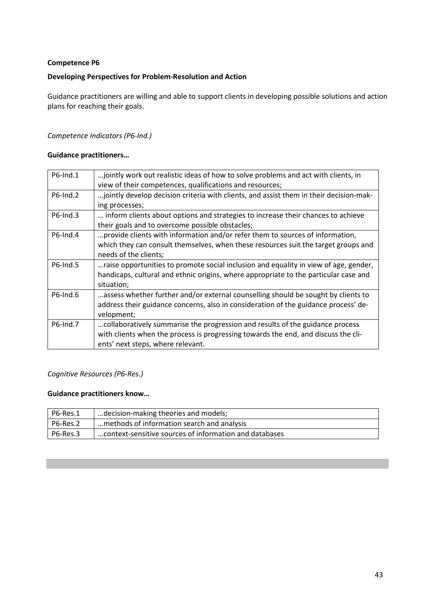### **Developing Perspectives for Problem-Resolution and Action**

Guidance practitioners are willing and able to support clients in developing possible solutions and action plans for reaching their goals.

### *Competence Indicators (P6-Ind.)*

#### **Guidance practitioners…**

| P6-Ind.1    | jointly work out realistic ideas of how to solve problems and act with clients, in     |
|-------------|----------------------------------------------------------------------------------------|
|             | view of their competences, qualifications and resources;                               |
| $P6$ -Ind.2 | jointly develop decision criteria with clients, and assist them in their decision-mak- |
|             | ing processes;                                                                         |
| $P6$ -Ind.3 | inform clients about options and strategies to increase their chances to achieve       |
|             | their goals and to overcome possible obstacles;                                        |
| $P6$ -Ind.4 | provide clients with information and/or refer them to sources of information,          |
|             | which they can consult themselves, when these resources suit the target groups and     |
|             | needs of the clients;                                                                  |
| P6-Ind.5    | raise opportunities to promote social inclusion and equality in view of age, gender,   |
|             | handicaps, cultural and ethnic origins, where appropriate to the particular case and   |
|             | situation;                                                                             |
| P6-Ind.6    | assess whether further and/or external counselling should be sought by clients to      |
|             | address their guidance concerns, also in consideration of the guidance process' de-    |
|             | velopment;                                                                             |
| P6-Ind.7    | collaboratively summarise the progression and results of the guidance process          |
|             | with clients when the process is progressing towards the end, and discuss the cli-     |
|             | ents' next steps, where relevant.                                                      |

# *Cognitive Resources (P6-Res.)*

| P6-Res.1 | decision-making theories and models;                   |
|----------|--------------------------------------------------------|
| P6-Res.2 | methods of information search and analysis             |
| P6-Res.3 | context-sensitive sources of information and databases |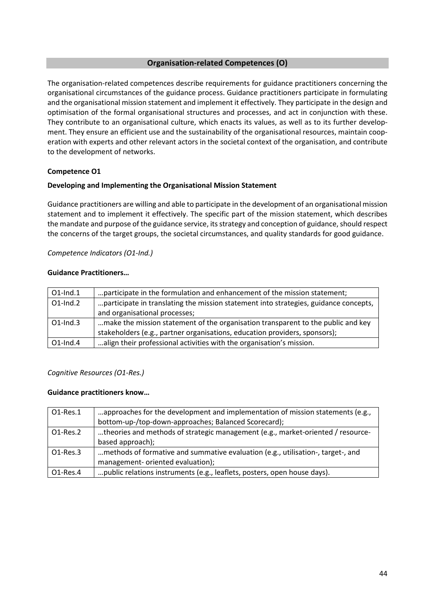#### **Organisation-related Competences (O)**

The organisation-related competences describe requirements for guidance practitioners concerning the organisational circumstances of the guidance process. Guidance practitioners participate in formulating and the organisational mission statement and implement it effectively. They participate in the design and optimisation of the formal organisational structures and processes, and act in conjunction with these. They contribute to an organisational culture, which enacts its values, as well as to its further development. They ensure an efficient use and the sustainability of the organisational resources, maintain cooperation with experts and other relevant actors in the societal context of the organisation, and contribute to the development of networks.

#### **Competence O1**

#### **Developing and Implementing the Organisational Mission Statement**

Guidance practitioners are willing and able to participate in the development of an organisational mission statement and to implement it effectively. The specific part of the mission statement, which describes the mandate and purpose of the guidance service, its strategy and conception of guidance, should respect the concerns of the target groups, the societal circumstances, and quality standards for good guidance.

#### *Competence Indicators (O1-Ind.)*

#### **Guidance Practitioners…**

| $O1$ -Ind. $1$ | participate in the formulation and enhancement of the mission statement;             |
|----------------|--------------------------------------------------------------------------------------|
| $O1$ -Ind. $2$ | participate in translating the mission statement into strategies, guidance concepts, |
|                | and organisational processes;                                                        |
| $O1$ -Ind.3    | make the mission statement of the organisation transparent to the public and key     |
|                | stakeholders (e.g., partner organisations, education providers, sponsors);           |
| $O1$ -Ind.4    | align their professional activities with the organisation's mission.                 |

#### *Cognitive Resources (O1-Res.)*

| O1-Res.1    | approaches for the development and implementation of mission statements (e.g.,  |
|-------------|---------------------------------------------------------------------------------|
|             | bottom-up-/top-down-approaches; Balanced Scorecard);                            |
| O1-Res.2    | theories and methods of strategic management (e.g., market-oriented / resource- |
|             | based approach);                                                                |
| O1-Res.3    | methods of formative and summative evaluation (e.g., utilisation-, target-, and |
|             | management- oriented evaluation);                                               |
| $O1$ -Res.4 | public relations instruments (e.g., leaflets, posters, open house days).        |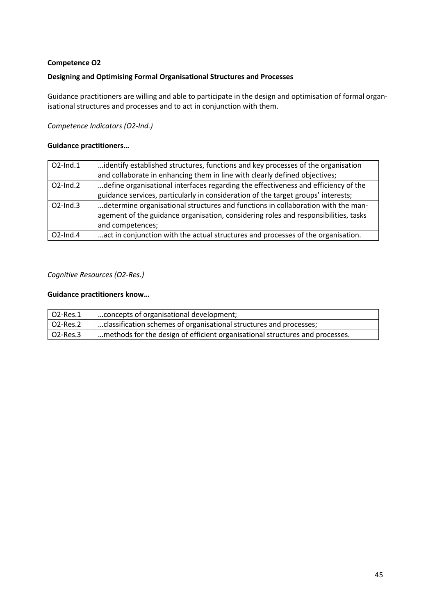### **Designing and Optimising Formal Organisational Structures and Processes**

Guidance practitioners are willing and able to participate in the design and optimisation of formal organisational structures and processes and to act in conjunction with them.

# *Competence Indicators (O2-Ind.)*

#### **Guidance practitioners…**

| $O2$ -Ind.1    | identify established structures, functions and key processes of the organisation    |
|----------------|-------------------------------------------------------------------------------------|
|                | and collaborate in enhancing them in line with clearly defined objectives;          |
| $O2$ -Ind. $2$ | define organisational interfaces regarding the effectiveness and efficiency of the  |
|                | guidance services, particularly in consideration of the target groups' interests;   |
| $O2$ -Ind.3    | determine organisational structures and functions in collaboration with the man-    |
|                | agement of the guidance organisation, considering roles and responsibilities, tasks |
|                | and competences;                                                                    |
| $O2$ -Ind.4    | act in conjunction with the actual structures and processes of the organisation.    |

#### *Cognitive Resources (O2-Res.)*

| $O2$ -Res.1 | concepts of organisational development;                                      |
|-------------|------------------------------------------------------------------------------|
| O2-Res.2    | classification schemes of organisational structures and processes;           |
| O2-Res.3    | methods for the design of efficient organisational structures and processes. |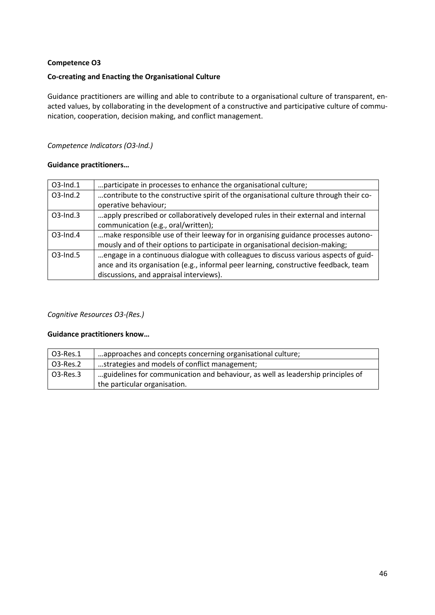# **Co-creating and Enacting the Organisational Culture**

Guidance practitioners are willing and able to contribute to a organisational culture of transparent, enacted values, by collaborating in the development of a constructive and participative culture of communication, cooperation, decision making, and conflict management.

# *Competence Indicators (O3-Ind.)*

# **Guidance practitioners…**

| $O3$ -Ind.1 | participate in processes to enhance the organisational culture;                       |
|-------------|---------------------------------------------------------------------------------------|
| O3-Ind.2    | contribute to the constructive spirit of the organisational culture through their co- |
|             | operative behaviour;                                                                  |
| $O3$ -Ind.3 | apply prescribed or collaboratively developed rules in their external and internal    |
|             | communication (e.g., oral/written);                                                   |
| $O3$ -Ind.4 | make responsible use of their leeway for in organising guidance processes autono-     |
|             | mously and of their options to participate in organisational decision-making;         |
| $O3$ -Ind.5 | engage in a continuous dialogue with colleagues to discuss various aspects of guid-   |
|             | ance and its organisation (e.g., informal peer learning, constructive feedback, team  |
|             | discussions, and appraisal interviews).                                               |

# *Cognitive Resources O3-(Res.)*

| 03-Res.1 | approaches and concepts concerning organisational culture;                      |
|----------|---------------------------------------------------------------------------------|
| O3-Res.2 | strategies and models of conflict management;                                   |
| O3-Res.3 | guidelines for communication and behaviour, as well as leadership principles of |
|          | the particular organisation.                                                    |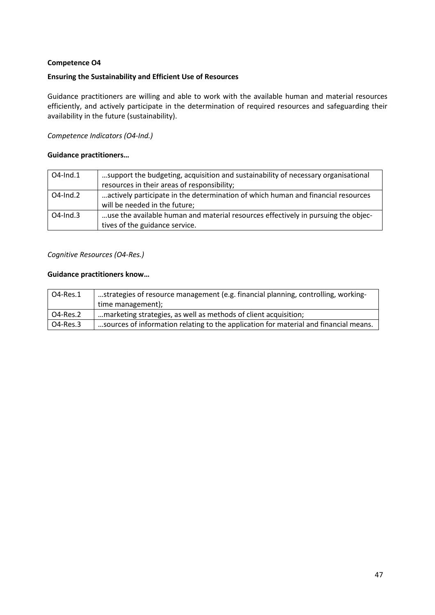#### **Ensuring the Sustainability and Efficient Use of Resources**

Guidance practitioners are willing and able to work with the available human and material resources efficiently, and actively participate in the determination of required resources and safeguarding their availability in the future (sustainability).

### *Competence Indicators (O4-Ind.)*

#### **Guidance practitioners…**

| $O4$ -Ind.1    | support the budgeting, acquisition and sustainability of necessary organisational |
|----------------|-----------------------------------------------------------------------------------|
|                | resources in their areas of responsibility;                                       |
| $O4$ -Ind. $2$ | actively participate in the determination of which human and financial resources  |
|                | will be needed in the future;                                                     |
| $O4$ -Ind.3    | use the available human and material resources effectively in pursuing the objec- |
|                | tives of the guidance service.                                                    |

#### *Cognitive Resources (O4-Res.)*

| O4-Res.1        | strategies of resource management (e.g. financial planning, controlling, working-    |
|-----------------|--------------------------------------------------------------------------------------|
|                 | time management);                                                                    |
| <b>O4-Res.2</b> | marketing strategies, as well as methods of client acquisition;                      |
| O4-Res.3        | sources of information relating to the application for material and financial means. |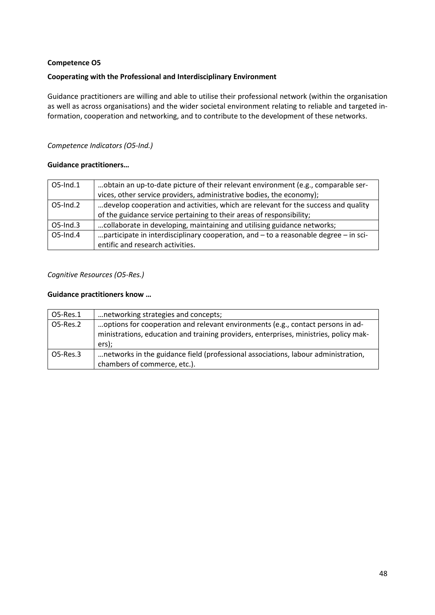# **Cooperating with the Professional and Interdisciplinary Environment**

Guidance practitioners are willing and able to utilise their professional network (within the organisation as well as across organisations) and the wider societal environment relating to reliable and targeted information, cooperation and networking, and to contribute to the development of these networks.

# *Competence Indicators (O5-Ind.)*

# **Guidance practitioners…**

| O5-Ind.1       | obtain an up-to-date picture of their relevant environment (e.g., comparable ser-        |
|----------------|------------------------------------------------------------------------------------------|
|                | vices, other service providers, administrative bodies, the economy);                     |
| $O5$ -Ind. $2$ | develop cooperation and activities, which are relevant for the success and quality       |
|                | of the guidance service pertaining to their areas of responsibility;                     |
| $O5$ -Ind.3    | collaborate in developing, maintaining and utilising guidance networks;                  |
| $O5$ -Ind.4    | participate in interdisciplinary cooperation, and $-$ to a reasonable degree $-$ in sci- |
|                | entific and research activities.                                                         |

# *Cognitive Resources (O5-Res.)*

| 05-Res.1    | networking strategies and concepts;                                                                                                                                               |
|-------------|-----------------------------------------------------------------------------------------------------------------------------------------------------------------------------------|
| O5-Res.2    | options for cooperation and relevant environments (e.g., contact persons in ad-<br>ministrations, education and training providers, enterprises, ministries, policy mak-<br>ers); |
| $O5$ -Res.3 | networks in the guidance field (professional associations, labour administration,<br>chambers of commerce, etc.).                                                                 |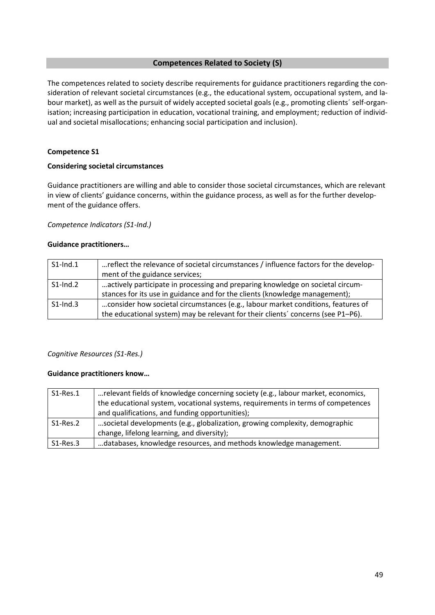#### **Competences Related to Society (S)**

The competences related to society describe requirements for guidance practitioners regarding the consideration of relevant societal circumstances (e.g., the educational system, occupational system, and labour market), as well as the pursuit of widely accepted societal goals (e.g., promoting clients´ self-organisation; increasing participation in education, vocational training, and employment; reduction of individual and societal misallocations; enhancing social participation and inclusion).

#### **Competence S1**

#### **Considering societal circumstances**

Guidance practitioners are willing and able to consider those societal circumstances, which are relevant in view of clients' guidance concerns, within the guidance process, as well as for the further development of the guidance offers.

#### *Competence Indicators (S1-Ind.)*

#### **Guidance practitioners…**

| $S1$ -Ind.1 | reflect the relevance of societal circumstances / influence factors for the develop- |
|-------------|--------------------------------------------------------------------------------------|
|             | ment of the guidance services;                                                       |
| $S1$ -Ind.2 | actively participate in processing and preparing knowledge on societal circum-       |
|             | stances for its use in guidance and for the clients (knowledge management);          |
| $S1$ -Ind.3 | consider how societal circumstances (e.g., labour market conditions, features of     |
|             | the educational system) may be relevant for their clients' concerns (see P1-P6).     |

# *Cognitive Resources (S1-Res.)*

| S1-Res.1    | relevant fields of knowledge concerning society (e.g., labour market, economics, |
|-------------|----------------------------------------------------------------------------------|
|             | the educational system, vocational systems, requirements in terms of competences |
|             | and qualifications, and funding opportunities);                                  |
| $S1-Res.2$  | societal developments (e.g., globalization, growing complexity, demographic      |
|             | change, lifelong learning, and diversity);                                       |
| $S1$ -Res.3 | databases, knowledge resources, and methods knowledge management.                |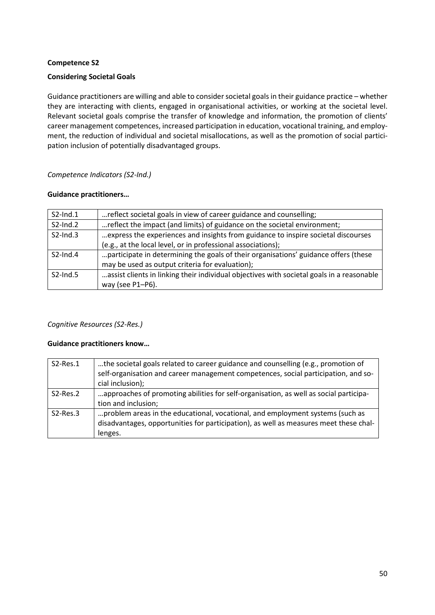#### **Considering Societal Goals**

Guidance practitioners are willing and able to consider societal goals in their guidance practice – whether they are interacting with clients, engaged in organisational activities, or working at the societal level. Relevant societal goals comprise the transfer of knowledge and information, the promotion of clients' career management competences, increased participation in education, vocational training, and employment, the reduction of individual and societal misallocations, as well as the promotion of social participation inclusion of potentially disadvantaged groups.

#### *Competence Indicators (S2-Ind.)*

#### **Guidance practitioners…**

| $S2$ -Ind.1 | reflect societal goals in view of career guidance and counselling;                        |
|-------------|-------------------------------------------------------------------------------------------|
| $S2$ -Ind.2 | reflect the impact (and limits) of guidance on the societal environment;                  |
| $S2$ -Ind.3 | express the experiences and insights from guidance to inspire societal discourses         |
|             | (e.g., at the local level, or in professional associations);                              |
| $S2$ -Ind.4 | participate in determining the goals of their organisations' guidance offers (these       |
|             | may be used as output criteria for evaluation);                                           |
| $S2$ -Ind.5 | assist clients in linking their individual objectives with societal goals in a reasonable |
|             | way (see P1-P6).                                                                          |

# *Cognitive Resources (S2-Res.)*

| $S2-Res.1$ | the societal goals related to career guidance and counselling (e.g., promotion of<br>self-organisation and career management competences, social participation, and so-<br>cial inclusion); |
|------------|---------------------------------------------------------------------------------------------------------------------------------------------------------------------------------------------|
| S2-Res.2   | approaches of promoting abilities for self-organisation, as well as social participa-<br>tion and inclusion;                                                                                |
| $S2-Res.3$ | problem areas in the educational, vocational, and employment systems (such as<br>disadvantages, opportunities for participation), as well as measures meet these chal-<br>lenges.           |